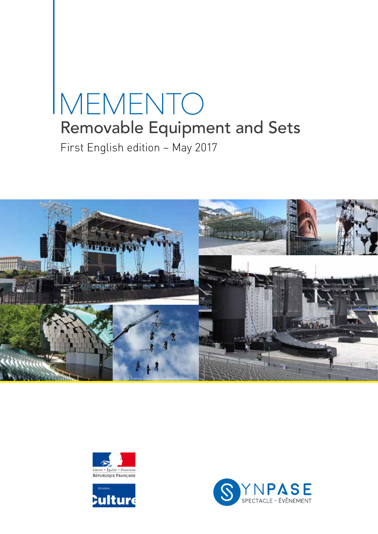# MEMENTO Removable Equipment and Sets First English edition – May 2017







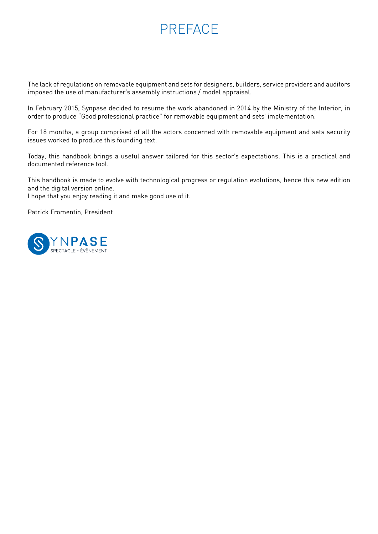## PREFACE

The lack of regulations on removable equipment and sets for designers, builders, service providers and auditors imposed the use of manufacturer's assembly instructions / model appraisal.

In February 2015, Synpase decided to resume the work abandoned in 2014 by the Ministry of the Interior, in order to produce "Good professional practice" for removable equipment and sets' implementation.

For 18 months, a group comprised of all the actors concerned with removable equipment and sets security issues worked to produce this founding text.

Today, this handbook brings a useful answer tailored for this sector's expectations. This is a practical and documented reference tool.

This handbook is made to evolve with technological progress or regulation evolutions, hence this new edition and the digital version online.

I hope that you enjoy reading it and make good use of it.

Patrick Fromentin, President

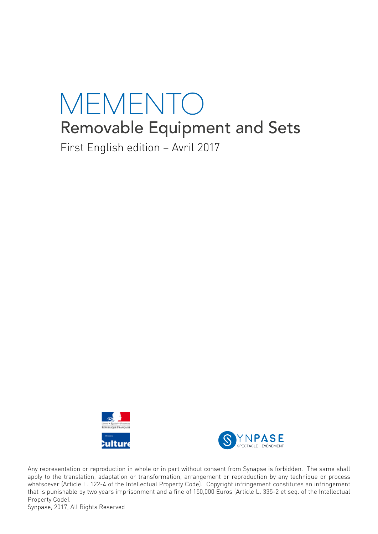# MEMENTO Removable Equipment and Sets

First English edition – Avril 2017





Any representation or reproduction in whole or in part without consent from Synapse is forbidden. The same shall apply to the translation, adaptation or transformation, arrangement or reproduction by any technique or process whatsoever (Article L. 122-4 of the Intellectual Property Code). Copyright infringement constitutes an infringement that is punishable by two years imprisonment and a fine of 150,000 Euros (Article L. 335-2 et seq. of the Intellectual Property Code).

Synpase, 2017, All Rights Reserved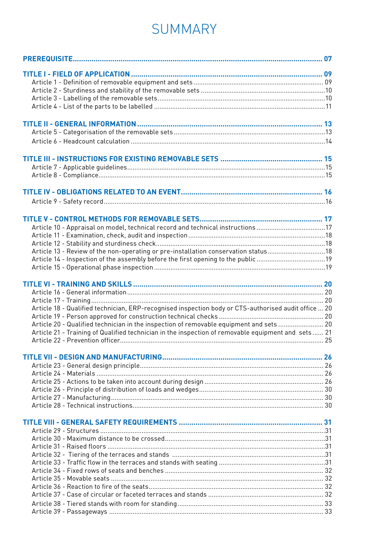## SUMMARY

| Article 10 - Appraisal on model, technical record and technical instructions 17<br>Article 13 - Review of the non-operating or pre-installation conservation status18<br>Article 14 - Inspection of the assembly before the first opening to the public 19<br>Article 18 - Qualified technician, ERP-recognised inspection body or CTS-authorised audit office  20<br>Article 20 - Qualified technician in the inspection of removable equipment and sets  20<br>Article 21 - Training of Qualified technician in the inspection of removable equipment and sets 21 |  |
|---------------------------------------------------------------------------------------------------------------------------------------------------------------------------------------------------------------------------------------------------------------------------------------------------------------------------------------------------------------------------------------------------------------------------------------------------------------------------------------------------------------------------------------------------------------------|--|
|                                                                                                                                                                                                                                                                                                                                                                                                                                                                                                                                                                     |  |
|                                                                                                                                                                                                                                                                                                                                                                                                                                                                                                                                                                     |  |
|                                                                                                                                                                                                                                                                                                                                                                                                                                                                                                                                                                     |  |
|                                                                                                                                                                                                                                                                                                                                                                                                                                                                                                                                                                     |  |
|                                                                                                                                                                                                                                                                                                                                                                                                                                                                                                                                                                     |  |
|                                                                                                                                                                                                                                                                                                                                                                                                                                                                                                                                                                     |  |
|                                                                                                                                                                                                                                                                                                                                                                                                                                                                                                                                                                     |  |
|                                                                                                                                                                                                                                                                                                                                                                                                                                                                                                                                                                     |  |
|                                                                                                                                                                                                                                                                                                                                                                                                                                                                                                                                                                     |  |
|                                                                                                                                                                                                                                                                                                                                                                                                                                                                                                                                                                     |  |
|                                                                                                                                                                                                                                                                                                                                                                                                                                                                                                                                                                     |  |
|                                                                                                                                                                                                                                                                                                                                                                                                                                                                                                                                                                     |  |
|                                                                                                                                                                                                                                                                                                                                                                                                                                                                                                                                                                     |  |
|                                                                                                                                                                                                                                                                                                                                                                                                                                                                                                                                                                     |  |
|                                                                                                                                                                                                                                                                                                                                                                                                                                                                                                                                                                     |  |
|                                                                                                                                                                                                                                                                                                                                                                                                                                                                                                                                                                     |  |
|                                                                                                                                                                                                                                                                                                                                                                                                                                                                                                                                                                     |  |
|                                                                                                                                                                                                                                                                                                                                                                                                                                                                                                                                                                     |  |
|                                                                                                                                                                                                                                                                                                                                                                                                                                                                                                                                                                     |  |
|                                                                                                                                                                                                                                                                                                                                                                                                                                                                                                                                                                     |  |
|                                                                                                                                                                                                                                                                                                                                                                                                                                                                                                                                                                     |  |
|                                                                                                                                                                                                                                                                                                                                                                                                                                                                                                                                                                     |  |
|                                                                                                                                                                                                                                                                                                                                                                                                                                                                                                                                                                     |  |
|                                                                                                                                                                                                                                                                                                                                                                                                                                                                                                                                                                     |  |
|                                                                                                                                                                                                                                                                                                                                                                                                                                                                                                                                                                     |  |
|                                                                                                                                                                                                                                                                                                                                                                                                                                                                                                                                                                     |  |
|                                                                                                                                                                                                                                                                                                                                                                                                                                                                                                                                                                     |  |
|                                                                                                                                                                                                                                                                                                                                                                                                                                                                                                                                                                     |  |
|                                                                                                                                                                                                                                                                                                                                                                                                                                                                                                                                                                     |  |
|                                                                                                                                                                                                                                                                                                                                                                                                                                                                                                                                                                     |  |
|                                                                                                                                                                                                                                                                                                                                                                                                                                                                                                                                                                     |  |
|                                                                                                                                                                                                                                                                                                                                                                                                                                                                                                                                                                     |  |
|                                                                                                                                                                                                                                                                                                                                                                                                                                                                                                                                                                     |  |
|                                                                                                                                                                                                                                                                                                                                                                                                                                                                                                                                                                     |  |
|                                                                                                                                                                                                                                                                                                                                                                                                                                                                                                                                                                     |  |
|                                                                                                                                                                                                                                                                                                                                                                                                                                                                                                                                                                     |  |
|                                                                                                                                                                                                                                                                                                                                                                                                                                                                                                                                                                     |  |
|                                                                                                                                                                                                                                                                                                                                                                                                                                                                                                                                                                     |  |
|                                                                                                                                                                                                                                                                                                                                                                                                                                                                                                                                                                     |  |
|                                                                                                                                                                                                                                                                                                                                                                                                                                                                                                                                                                     |  |
|                                                                                                                                                                                                                                                                                                                                                                                                                                                                                                                                                                     |  |
|                                                                                                                                                                                                                                                                                                                                                                                                                                                                                                                                                                     |  |
|                                                                                                                                                                                                                                                                                                                                                                                                                                                                                                                                                                     |  |
|                                                                                                                                                                                                                                                                                                                                                                                                                                                                                                                                                                     |  |
|                                                                                                                                                                                                                                                                                                                                                                                                                                                                                                                                                                     |  |
|                                                                                                                                                                                                                                                                                                                                                                                                                                                                                                                                                                     |  |
|                                                                                                                                                                                                                                                                                                                                                                                                                                                                                                                                                                     |  |
|                                                                                                                                                                                                                                                                                                                                                                                                                                                                                                                                                                     |  |
|                                                                                                                                                                                                                                                                                                                                                                                                                                                                                                                                                                     |  |
|                                                                                                                                                                                                                                                                                                                                                                                                                                                                                                                                                                     |  |
|                                                                                                                                                                                                                                                                                                                                                                                                                                                                                                                                                                     |  |
|                                                                                                                                                                                                                                                                                                                                                                                                                                                                                                                                                                     |  |
|                                                                                                                                                                                                                                                                                                                                                                                                                                                                                                                                                                     |  |
|                                                                                                                                                                                                                                                                                                                                                                                                                                                                                                                                                                     |  |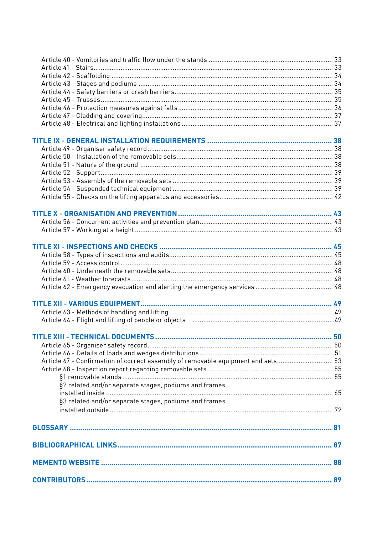|                                                                                  | 50 |
|----------------------------------------------------------------------------------|----|
|                                                                                  |    |
|                                                                                  |    |
|                                                                                  |    |
| Article 67 - Confirmation of correct assembly of removable equipment and sets 53 |    |
|                                                                                  |    |
| §2 related and/or separate stages, podiums and frames                            |    |
|                                                                                  |    |
| §3 related and/or separate stages, podiums and frames                            |    |
|                                                                                  |    |
|                                                                                  |    |
|                                                                                  |    |
|                                                                                  |    |
|                                                                                  |    |
|                                                                                  |    |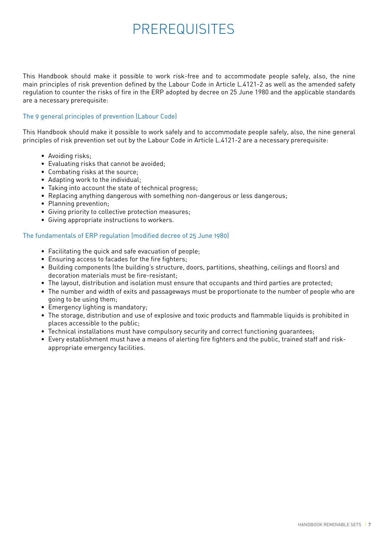## PREREQUISITES

This Handbook should make it possible to work risk-free and to accommodate people safely, also, the nine main principles of risk prevention defined by the Labour Code in Article L.4121-2 as well as the amended safety regulation to counter the risks of fire in the ERP adopted by decree on 25 June 1980 and the applicable standards are a necessary prerequisite:

#### The 9 general principles of prevention (Labour Code)

This Handbook should make it possible to work safely and to accommodate people safely, also, the nine general principles of risk prevention set out by the Labour Code in Article L.4121-2 are a necessary prerequisite:

- Avoiding risks;
- Evaluating risks that cannot be avoided;
- Combating risks at the source;
- Adapting work to the individual;
- Taking into account the state of technical progress;
- Replacing anything dangerous with something non-dangerous or less dangerous;
- Planning prevention;
- Giving priority to collective protection measures;
- Giving appropriate instructions to workers.

#### The fundamentals of ERP regulation (modified decree of 25 June 1980)

- Facilitating the quick and safe evacuation of people;
- Ensuring access to facades for the fire fighters;
- Building components (the building's structure, doors, partitions, sheathing, ceilings and floors) and decoration materials must be fire-resistant;
- The layout, distribution and isolation must ensure that occupants and third parties are protected;
- The number and width of exits and passageways must be proportionate to the number of people who are going to be using them;
- Emergency lighting is mandatory;
- The storage, distribution and use of explosive and toxic products and flammable liquids is prohibited in places accessible to the public;
- Technical installations must have compulsory security and correct functioning guarantees;
- Every establishment must have a means of alerting fire fighters and the public, trained staff and riskappropriate emergency facilities.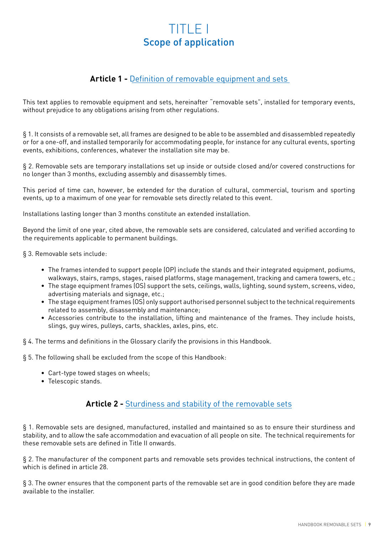## TITLE I Scope of application

## **Article 1 -** Definition of removable equipment and sets

This text applies to removable equipment and sets, hereinafter "removable sets", installed for temporary events, without prejudice to any obligations arising from other regulations.

§ 1. It consists of a removable set, all frames are designed to be able to be assembled and disassembled repeatedly or for a one-off, and installed temporarily for accommodating people, for instance for any cultural events, sporting events, exhibitions, conferences, whatever the installation site may be.

§ 2. Removable sets are temporary installations set up inside or outside closed and/or covered constructions for no longer than 3 months, excluding assembly and disassembly times.

This period of time can, however, be extended for the duration of cultural, commercial, tourism and sporting events, up to a maximum of one year for removable sets directly related to this event.

Installations lasting longer than 3 months constitute an extended installation.

Beyond the limit of one year, cited above, the removable sets are considered, calculated and verified according to the requirements applicable to permanent buildings.

§ 3. Removable sets include:

- The frames intended to support people (OP) include the stands and their integrated equipment, podiums, walkways, stairs, ramps, stages, raised platforms, stage management, tracking and camera towers, etc.;
- The stage equipment frames (OS) support the sets, ceilings, walls, lighting, sound system, screens, video, advertising materials and signage, etc.;
- The stage equipment frames (OS) only support authorised personnel subject to the technical requirements related to assembly, disassembly and maintenance;
- Accessories contribute to the installation, lifting and maintenance of the frames. They include hoists, slings, guy wires, pulleys, carts, shackles, axles, pins, etc.
- § 4. The terms and definitions in the Glossary clarify the provisions in this Handbook.

§ 5. The following shall be excluded from the scope of this Handbook:

- Cart-type towed stages on wheels;
- Telescopic stands.

## **Article 2 -** Sturdiness and stability of the removable sets

§ 1. Removable sets are designed, manufactured, installed and maintained so as to ensure their sturdiness and stability, and to allow the safe accommodation and evacuation of all people on site. The technical requirements for these removable sets are defined in Title II onwards.

§ 2. The manufacturer of the component parts and removable sets provides technical instructions, the content of which is defined in article 28.

§ 3. The owner ensures that the component parts of the removable set are in good condition before they are made available to the installer.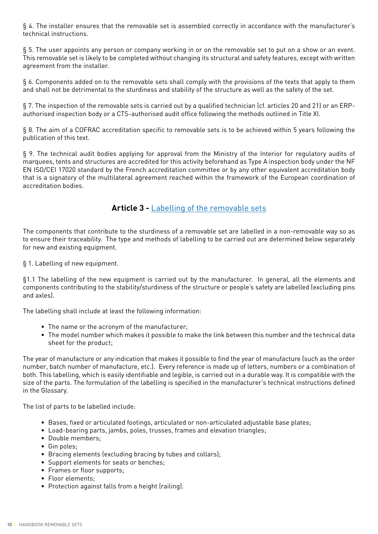§ 4. The installer ensures that the removable set is assembled correctly in accordance with the manufacturer's technical instructions.

§ 5. The user appoints any person or company working in or on the removable set to put on a show or an event. This removable set is likely to be completed without changing its structural and safety features, except with written agreement from the installer.

§ 6. Components added on to the removable sets shall comply with the provisions of the texts that apply to them and shall not be detrimental to the sturdiness and stability of the structure as well as the safety of the set.

§ 7. The inspection of the removable sets is carried out by a qualified technician (cf. articles 20 and 21) or an ERPauthorised inspection body or a CTS-authorised audit office following the methods outlined in Title XI.

§ 8. The aim of a COFRAC accreditation specific to removable sets is to be achieved within 5 years following the publication of this text.

§ 9. The technical audit bodies applying for approval from the Ministry of the Interior for regulatory audits of marquees, tents and structures are accredited for this activity beforehand as Type A inspection body under the NF EN ISO/CEI 17020 standard by the French accreditation committee or by any other equivalent accreditation body that is a signatory of the multilateral agreement reached within the framework of the European coordination of accreditation bodies.

## **Article 3 -** Labelling of the removable sets

The components that contribute to the sturdiness of a removable set are labelled in a non-removable way so as to ensure their traceability. The type and methods of labelling to be carried out are determined below separately for new and existing equipment.

§ 1. Labelling of new equipment.

§1.1 The labelling of the new equipment is carried out by the manufacturer. In general, all the elements and components contributing to the stability/sturdiness of the structure or people's safety are labelled (excluding pins and axles).

The labelling shall include at least the following information:

- The name or the acronym of the manufacturer;
- The model number which makes it possible to make the link between this number and the technical data sheet for the product;

The year of manufacture or any indication that makes it possible to find the year of manufacture (such as the order number, batch number of manufacture, etc.). Every reference is made up of letters, numbers or a combination of both. This labelling, which is easily identifiable and legible, is carried out in a durable way. It is compatible with the size of the parts. The formulation of the labelling is specified in the manufacturer's technical instructions defined in the Glossary.

The list of parts to be labelled include:

- Bases, fixed or articulated footings, articulated or non-articulated adjustable base plates;
- Load-bearing parts, jambs, poles, trusses, frames and elevation triangles;
- Double members;
- Gin poles;
- Bracing elements (excluding bracing by tubes and collars);
- Support elements for seats or benches;
- Frames or floor supports;
- Floor elements;
- Protection against falls from a height (railing).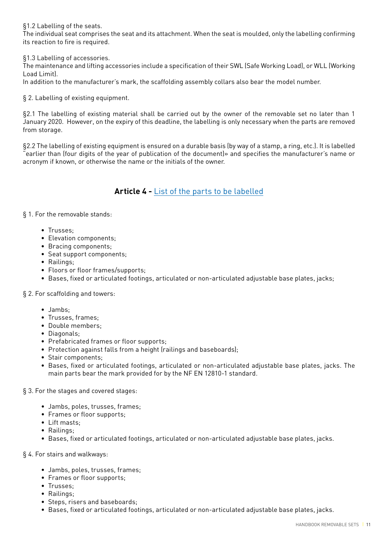§1.2 Labelling of the seats.

The individual seat comprises the seat and its attachment. When the seat is moulded, only the labelling confirming its reaction to fire is required.

§1.3 Labelling of accessories.

The maintenance and lifting accessories include a specification of their SWL (Safe Working Load), or WLL (Working Load Limit).

In addition to the manufacturer's mark, the scaffolding assembly collars also bear the model number.

§ 2. Labelling of existing equipment.

§2.1 The labelling of existing material shall be carried out by the owner of the removable set no later than 1 January 2020. However, on the expiry of this deadline, the labelling is only necessary when the parts are removed from storage.

§2.2 The labelling of existing equipment is ensured on a durable basis (by way of a stamp, a ring, etc.). It is labelled "earlier than (four digits of the year of publication of the document)» and specifies the manufacturer's name or acronym if known, or otherwise the name or the initials of the owner.

## **Article 4 -** List of the parts to be labelled

§ 1. For the removable stands:

- Trusses;
- Elevation components;
- Bracing components;
- Seat support components;
- Railings;
- Floors or floor frames/supports;
- Bases, fixed or articulated footings, articulated or non-articulated adjustable base plates, jacks;

§ 2. For scaffolding and towers:

- Jambs;
- Trusses, frames;
- Double members;
- Diagonals;
- Prefabricated frames or floor supports;
- Protection against falls from a height (railings and baseboards);
- Stair components;
- Bases, fixed or articulated footings, articulated or non-articulated adjustable base plates, jacks. The main parts bear the mark provided for by the NF EN 12810-1 standard.

#### § 3. For the stages and covered stages:

- Jambs, poles, trusses, frames;
- Frames or floor supports;
- Lift masts;
- Railings;
- Bases, fixed or articulated footings, articulated or non-articulated adjustable base plates, jacks.
- § 4. For stairs and walkways:
	- Jambs, poles, trusses, frames;
	- Frames or floor supports;
	- Trusses;
	- Railings;
	- Steps, risers and baseboards;
	- Bases, fixed or articulated footings, articulated or non-articulated adjustable base plates, jacks.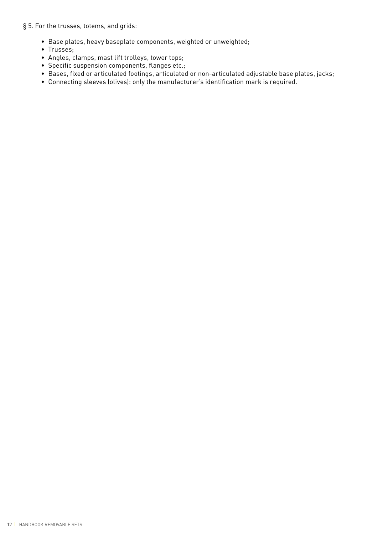#### § 5. For the trusses, totems, and grids:

- Base plates, heavy baseplate components, weighted or unweighted;
- Trusses;
- Angles, clamps, mast lift trolleys, tower tops;
- Specific suspension components, flanges etc.;
- Bases, fixed or articulated footings, articulated or non-articulated adjustable base plates, jacks;
- Connecting sleeves (olives): only the manufacturer's identification mark is required.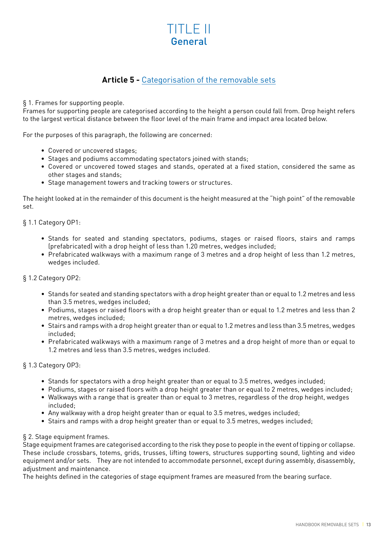## TITLE II General

## **Article 5 -** Categorisation of the removable sets

§ 1. Frames for supporting people.

Frames for supporting people are categorised according to the height a person could fall from. Drop height refers to the largest vertical distance between the floor level of the main frame and impact area located below.

For the purposes of this paragraph, the following are concerned:

- Covered or uncovered stages;
- Stages and podiums accommodating spectators joined with stands;
- Covered or uncovered towed stages and stands, operated at a fixed station, considered the same as other stages and stands;
- Stage management towers and tracking towers or structures.

The height looked at in the remainder of this document is the height measured at the "high point" of the removable set.

#### § 1.1 Category OP1:

- Stands for seated and standing spectators, podiums, stages or raised floors, stairs and ramps (prefabricated) with a drop height of less than 1.20 metres, wedges included;
- Prefabricated walkways with a maximum range of 3 metres and a drop height of less than 1.2 metres, wedges included.

#### § 1.2 Category OP2:

- Stands for seated and standing spectators with a drop height greater than or equal to 1.2 metres and less than 3.5 metres, wedges included;
- Podiums, stages or raised floors with a drop height greater than or equal to 1.2 metres and less than 2 metres, wedges included;
- Stairs and ramps with a drop height greater than or equal to 1.2 metres and less than 3.5 metres, wedges included;
- Prefabricated walkways with a maximum range of 3 metres and a drop height of more than or equal to 1.2 metres and less than 3.5 metres, wedges included.

#### § 1.3 Category OP3:

- Stands for spectators with a drop height greater than or equal to 3.5 metres, wedges included;
- Podiums, stages or raised floors with a drop height greater than or equal to 2 metres, wedges included;
- Walkways with a range that is greater than or equal to 3 metres, regardless of the drop height, wedges included;
- Any walkway with a drop height greater than or equal to 3.5 metres, wedges included;
- Stairs and ramps with a drop height greater than or equal to 3.5 metres, wedges included;

#### § 2. Stage equipment frames.

Stage equipment frames are categorised according to the risk they pose to people in the event of tipping or collapse. These include crossbars, totems, grids, trusses, lifting towers, structures supporting sound, lighting and video equipment and/or sets. They are not intended to accommodate personnel, except during assembly, disassembly, adjustment and maintenance.

The heights defined in the categories of stage equipment frames are measured from the bearing surface.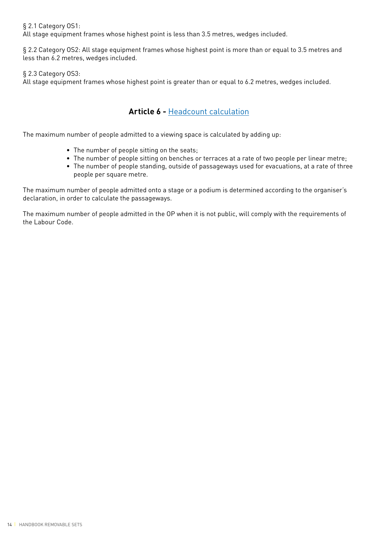§ 2.1 Category OS1:

All stage equipment frames whose highest point is less than 3.5 metres, wedges included.

§ 2.2 Category OS2: All stage equipment frames whose highest point is more than or equal to 3.5 metres and less than 6.2 metres, wedges included.

§ 2.3 Category OS3:

All stage equipment frames whose highest point is greater than or equal to 6.2 metres, wedges included.

## **Article 6 -** Headcount calculation

The maximum number of people admitted to a viewing space is calculated by adding up:

- The number of people sitting on the seats;
- The number of people sitting on benches or terraces at a rate of two people per linear metre;
- The number of people standing, outside of passageways used for evacuations, at a rate of three people per square metre.

The maximum number of people admitted onto a stage or a podium is determined according to the organiser's declaration, in order to calculate the passageways.

The maximum number of people admitted in the OP when it is not public, will comply with the requirements of the Labour Code.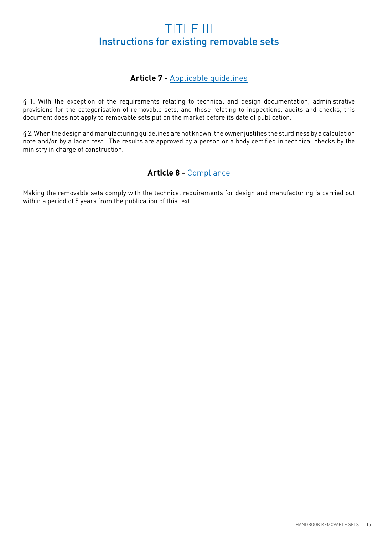## TITLE III Instructions for existing removable sets

## **Article 7 -** Applicable guidelines

§ 1. With the exception of the requirements relating to technical and design documentation, administrative provisions for the categorisation of removable sets, and those relating to inspections, audits and checks, this document does not apply to removable sets put on the market before its date of publication.

§ 2. When the design and manufacturing guidelines are not known, the owner justifies the sturdiness by a calculation note and/or by a laden test. The results are approved by a person or a body certified in technical checks by the ministry in charge of construction.

## **Article 8 -** Compliance

Making the removable sets comply with the technical requirements for design and manufacturing is carried out within a period of 5 years from the publication of this text.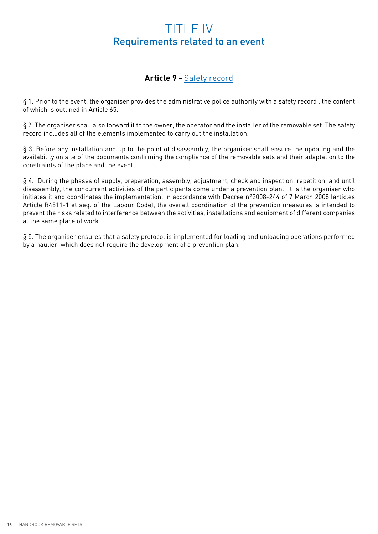## TITLE IV Requirements related to an event

## **Article 9 -** Safety record

§ 1. Prior to the event, the organiser provides the administrative police authority with a safety record , the content of which is outlined in Article 65.

§ 2. The organiser shall also forward it to the owner, the operator and the installer of the removable set. The safety record includes all of the elements implemented to carry out the installation.

§ 3. Before any installation and up to the point of disassembly, the organiser shall ensure the updating and the availability on site of the documents confirming the compliance of the removable sets and their adaptation to the constraints of the place and the event.

§ 4. During the phases of supply, preparation, assembly, adjustment, check and inspection, repetition, and until disassembly, the concurrent activities of the participants come under a prevention plan. It is the organiser who initiates it and coordinates the implementation. In accordance with Decree n°2008-244 of 7 March 2008 (articles Article R4511-1 et seq. of the Labour Code), the overall coordination of the prevention measures is intended to prevent the risks related to interference between the activities, installations and equipment of different companies at the same place of work.

§ 5. The organiser ensures that a safety protocol is implemented for loading and unloading operations performed by a haulier, which does not require the development of a prevention plan.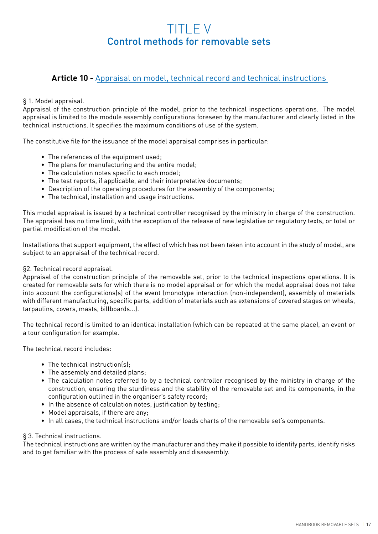## TITLE V Control methods for removable sets

## **Article 10 -** Appraisal on model, technical record and technical instructions

#### § 1. Model appraisal.

Appraisal of the construction principle of the model, prior to the technical inspections operations. The model appraisal is limited to the module assembly configurations foreseen by the manufacturer and clearly listed in the technical instructions. It specifies the maximum conditions of use of the system.

The constitutive file for the issuance of the model appraisal comprises in particular:

- The references of the equipment used;
- The plans for manufacturing and the entire model;
- The calculation notes specific to each model;
- The test reports, if applicable, and their interpretative documents;
- Description of the operating procedures for the assembly of the components;
- The technical, installation and usage instructions.

This model appraisal is issued by a technical controller recognised by the ministry in charge of the construction. The appraisal has no time limit, with the exception of the release of new legislative or regulatory texts, or total or partial modification of the model.

Installations that support equipment, the effect of which has not been taken into account in the study of model, are subject to an appraisal of the technical record.

#### §2. Technical record appraisal.

Appraisal of the construction principle of the removable set, prior to the technical inspections operations. It is created for removable sets for which there is no model appraisal or for which the model appraisal does not take into account the configurations(s) of the event (monotype interaction (non-independent), assembly of materials with different manufacturing, specific parts, addition of materials such as extensions of covered stages on wheels, tarpaulins, covers, masts, billboards...).

The technical record is limited to an identical installation (which can be repeated at the same place), an event or a tour configuration for example.

The technical record includes:

- The technical instruction(s);
- The assembly and detailed plans;
- The calculation notes referred to by a technical controller recognised by the ministry in charge of the construction, ensuring the sturdiness and the stability of the removable set and its components, in the configuration outlined in the organiser's safety record;
- In the absence of calculation notes, justification by testing;
- Model appraisals, if there are any;
- In all cases, the technical instructions and/or loads charts of the removable set's components.

#### § 3. Technical instructions.

The technical instructions are written by the manufacturer and they make it possible to identify parts, identify risks and to get familiar with the process of safe assembly and disassembly.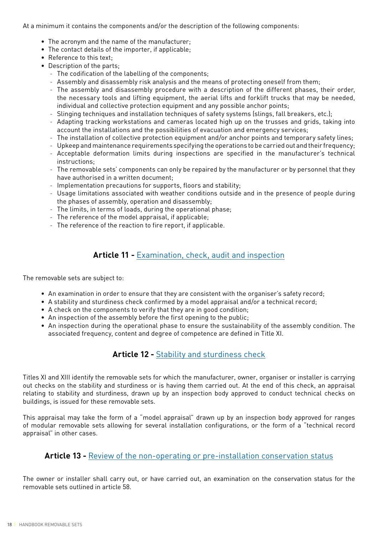At a minimum it contains the components and/or the description of the following components:

- The acronym and the name of the manufacturer;
- The contact details of the importer, if applicable;
- Reference to this text;
- Description of the parts;
	- The codification of the labelling of the components;
	- Assembly and disassembly risk analysis and the means of protecting oneself from them;
	- The assembly and disassembly procedure with a description of the different phases, their order, the necessary tools and lifting equipment, the aerial lifts and forklift trucks that may be needed, individual and collective protection equipment and any possible anchor points;
	- Slinging techniques and installation techniques of safety systems (slings, fall breakers, etc.);
	- Adapting tracking workstations and cameras located high up on the trusses and grids, taking into account the installations and the possibilities of evacuation and emergency services;
	- The installation of collective protection equipment and/or anchor points and temporary safety lines;
	- Upkeep and maintenance requirements specifying the operations to be carried out and their frequency;
	- Acceptable deformation limits during inspections are specified in the manufacturer's technical instructions;
	- The removable sets' components can only be repaired by the manufacturer or by personnel that they have authorised in a written document;
	- Implementation precautions for supports, floors and stability;
	- Usage limitations associated with weather conditions outside and in the presence of people during the phases of assembly, operation and disassembly;
	- The limits, in terms of loads, during the operational phase;
	- The reference of the model appraisal, if applicable;
	- The reference of the reaction to fire report, if applicable.

## **Article 11 -** Examination, check, audit and inspection

The removable sets are subject to:

- An examination in order to ensure that they are consistent with the organiser's safety record;
- A stability and sturdiness check confirmed by a model appraisal and/or a technical record;
- A check on the components to verify that they are in good condition;
- An inspection of the assembly before the first opening to the public;
- An inspection during the operational phase to ensure the sustainability of the assembly condition. The associated frequency, content and degree of competence are defined in Title XI.

## **Article 12 -** Stability and sturdiness check

Titles XI and XIII identify the removable sets for which the manufacturer, owner, organiser or installer is carrying out checks on the stability and sturdiness or is having them carried out. At the end of this check, an appraisal relating to stability and sturdiness, drawn up by an inspection body approved to conduct technical checks on buildings, is issued for these removable sets.

This appraisal may take the form of a "model appraisal" drawn up by an inspection body approved for ranges of modular removable sets allowing for several installation configurations, or the form of a "technical record appraisal" in other cases.

#### **Article 13 -** Review of the non-operating or pre-installation conservation status

The owner or installer shall carry out, or have carried out, an examination on the conservation status for the removable sets outlined in article 58.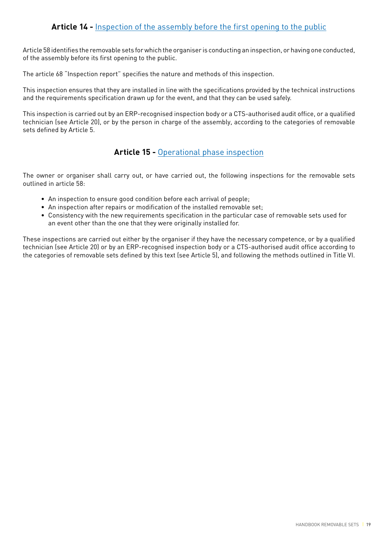Article 58 identifies the removable sets for which the organiser is conducting an inspection, or having one conducted, of the assembly before its first opening to the public.

The article 68 "Inspection report" specifies the nature and methods of this inspection.

This inspection ensures that they are installed in line with the specifications provided by the technical instructions and the requirements specification drawn up for the event, and that they can be used safely.

This inspection is carried out by an ERP-recognised inspection body or a CTS-authorised audit office, or a qualified technician (see Article 20), or by the person in charge of the assembly, according to the categories of removable sets defined by Article 5.

## **Article 15 -** Operational phase inspection

The owner or organiser shall carry out, or have carried out, the following inspections for the removable sets outlined in article 58:

- An inspection to ensure good condition before each arrival of people;
- An inspection after repairs or modification of the installed removable set;
- Consistency with the new requirements specification in the particular case of removable sets used for an event other than the one that they were originally installed for.

These inspections are carried out either by the organiser if they have the necessary competence, or by a qualified technician (see Article 20) or by an ERP-recognised inspection body or a CTS-authorised audit office according to the categories of removable sets defined by this text (see Article 5), and following the methods outlined in Title VI.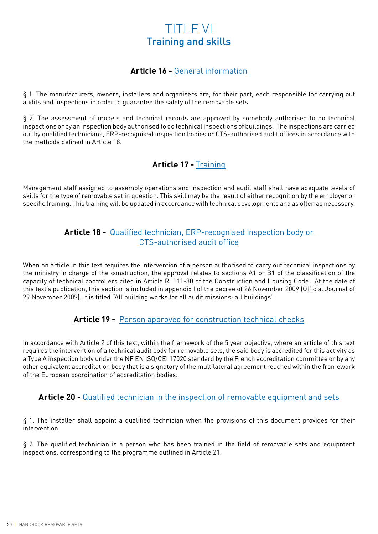## TITLE VI Training and skills

## **Article 16 -** General information

§ 1. The manufacturers, owners, installers and organisers are, for their part, each responsible for carrying out audits and inspections in order to guarantee the safety of the removable sets.

§ 2. The assessment of models and technical records are approved by somebody authorised to do technical inspections or by an inspection body authorised to do technical inspections of buildings. The inspections are carried out by qualified technicians, ERP-recognised inspection bodies or CTS-authorised audit offices in accordance with the methods defined in Article 18.

## **Article 17 -** Training

Management staff assigned to assembly operations and inspection and audit staff shall have adequate levels of skills for the type of removable set in question. This skill may be the result of either recognition by the employer or specific training. This training will be updated in accordance with technical developments and as often as necessary.

## **Article 18 -** Qualified technician, ERP-recognised inspection body or CTS-authorised audit office

When an article in this text requires the intervention of a person authorised to carry out technical inspections by the ministry in charge of the construction, the approval relates to sections A1 or B1 of the classification of the capacity of technical controllers cited in Article R. 111-30 of the Construction and Housing Code. At the date of this text's publication, this section is included in appendix I of the decree of 26 November 2009 (Official Journal of 29 November 2009). It is titled "All building works for all audit missions: all buildings".

## **Article 19 -** Person approved for construction technical checks

In accordance with Article 2 of this text, within the framework of the 5 year objective, where an article of this text requires the intervention of a technical audit body for removable sets, the said body is accredited for this activity as a Type A inspection body under the NF EN ISO/CEI 17020 standard by the French accreditation committee or by any other equivalent accreditation body that is a signatory of the multilateral agreement reached within the framework of the European coordination of accreditation bodies.

## **Article 20 -** Qualified technician in the inspection of removable equipment and sets

§ 1. The installer shall appoint a qualified technician when the provisions of this document provides for their intervention.

§ 2. The qualified technician is a person who has been trained in the field of removable sets and equipment inspections, corresponding to the programme outlined in Article 21.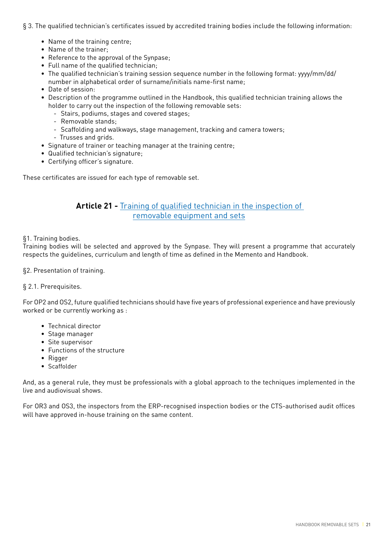- § 3. The qualified technician's certificates issued by accredited training bodies include the following information:
	- Name of the training centre;
	- Name of the trainer;
	- Reference to the approval of the Synpase;
	- Full name of the qualified technician;
	- The qualified technician's training session sequence number in the following format: yyyy/mm/dd/ number in alphabetical order of surname/initials name-first name;
	- Date of session:
	- Description of the programme outlined in the Handbook, this qualified technician training allows the holder to carry out the inspection of the following removable sets:
		- Stairs, podiums, stages and covered stages;
		- Removable stands;
		- Scaffolding and walkways, stage management, tracking and camera towers;
		- Trusses and grids.
	- Signature of trainer or teaching manager at the training centre;
	- Qualified technician's signature;
	- Certifying officer's signature.

These certificates are issued for each type of removable set.

## **Article 21 -** Training of qualified technician in the inspection of removable equipment and sets

#### §1. Training bodies.

Training bodies will be selected and approved by the Synpase. They will present a programme that accurately respects the guidelines, curriculum and length of time as defined in the Memento and Handbook.

§2. Presentation of training.

#### § 2.1. Prerequisites.

For OP2 and OS2, future qualified technicians should have five years of professional experience and have previously worked or be currently working as :

- Technical director
- Stage manager
- Site supervisor
- Functions of the structure
- Rigger
- Scaffolder

And, as a general rule, they must be professionals with a global approach to the techniques implemented in the live and audiovisual shows.

For OR3 and OS3, the inspectors from the ERP-recognised inspection bodies or the CTS-authorised audit offices will have approved in-house training on the same content.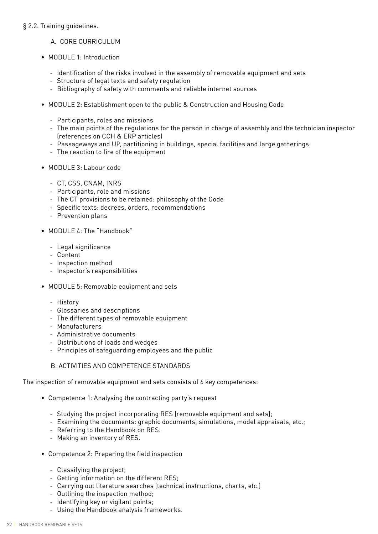#### § 2.2. Training guidelines.

#### A. CORE CURRICUI UM

- MODULE 1: Introduction
	- Identification of the risks involved in the assembly of removable equipment and sets
	- Structure of legal texts and safety regulation
	- Bibliography of safety with comments and reliable internet sources
- MODULE 2: Establishment open to the public & Construction and Housing Code
	- Participants, roles and missions
	- The main points of the regulations for the person in charge of assembly and the technician inspector (references on CCH & ERP articles)
	- Passageways and UP, partitioning in buildings, special facilities and large gatherings
	- The reaction to fire of the equipment
- MODULE 3: Labour code
	- CT, CSS, CNAM, INRS
	- Participants, role and missions
	- The CT provisions to be retained: philosophy of the Code
	- Specific texts: decrees, orders, recommendations
	- Prevention plans
- MODULE 4: The "Handbook"
	- Legal significance
	- Content
	- Inspection method
	- Inspector's responsibilities
- MODULE 5: Removable equipment and sets
	- History
	- Glossaries and descriptions
	- The different types of removable equipment
	- Manufacturers
	- Administrative documents
	- Distributions of loads and wedges
	- Principles of safeguarding employees and the public

#### B. ACTIVITIES AND COMPETENCE STANDARDS

The inspection of removable equipment and sets consists of 6 key competences:

- Competence 1: Analysing the contracting party's request
	- Studying the project incorporating RES [removable equipment and sets];
	- Examining the documents: graphic documents, simulations, model appraisals, etc.;
	- Referring to the Handbook on RES.
	- Making an inventory of RES.
- Competence 2: Preparing the field inspection
	- Classifying the project;
	- Getting information on the different RES;
	- Carrying out literature searches (technical instructions, charts, etc.)
	- Outlining the inspection method;
	- Identifying key or vigilant points;
	- Using the Handbook analysis frameworks.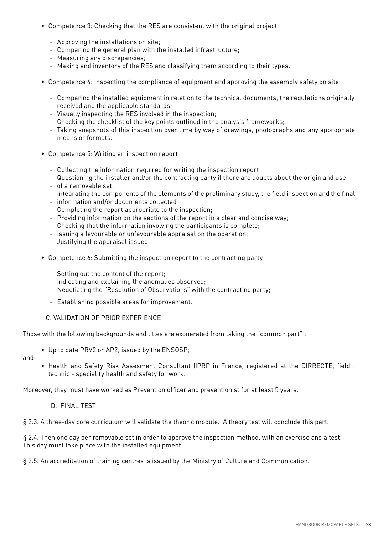- Competence 3: Checking that the RES are consistent with the original project
	- Approving the installations on site;
	- Comparing the general plan with the installed infrastructure;
	- Measuring any discrepancies;
	- Making and inventory of the RES and classifying them according to their types.
- Competence 4: Inspecting the compliance of equipment and approving the assembly safety on site
	- Comparing the installed equipment in relation to the technical documents, the regulations originally
	- received and the applicable standards;
	- Visually inspecting the RES involved in the inspection;
	- Checking the checklist of the key points outlined in the analysis frameworks;
	- Taking snapshots of this inspection over time by way of drawings, photographs and any appropriate means or formats.
- Competence 5: Writing an inspection report
	- Collecting the information required for writing the inspection report
	- Questioning the installer and/or the contracting party if there are doubts about the origin and use
	- of a removable set.
	- Integrating the components of the elements of the preliminary study, the field inspection and the final
	- information and/or documents collected
	- Completing the report appropriate to the inspection;
	- Providing information on the sections of the report in a clear and concise way;
	- Checking that the information involving the participants is complete;
	- Issuing a favourable or unfavourable appraisal on the operation;
	- Justifying the appraisal issued
- Competence 6: Submitting the inspection report to the contracting party
	- Setting out the content of the report;
	- Indicating and explaining the anomalies observed;
	- Negotiating the "Resolution of Observations" with the contracting party;
	- Establishing possible areas for improvement.

#### C. VALIDATION OF PRIOR EXPERIENCE

Those with the following backgrounds and titles are exonerated from taking the "common part" :

- Up to date PRV2 or AP2, issued by the ENSOSP;
- and
- Health and Safety Risk Assesment Consultant (IPRP in France) registered at the DIRRECTE, field : technic - speciality health and safety for work.

Moreover, they must have worked as Prevention officer and preventionist for at least 5 years.

D. FINAL TEST

§ 2.3. A three-day core curriculum will validate the theoric module. A theory test will conclude this part.

§ 2.4. Then one day per removable set in order to approve the inspection method, with an exercise and a test. This day must take place with the installed equipment.

§ 2.5. An accreditation of training centres is issued by the Ministry of Culture and Communication.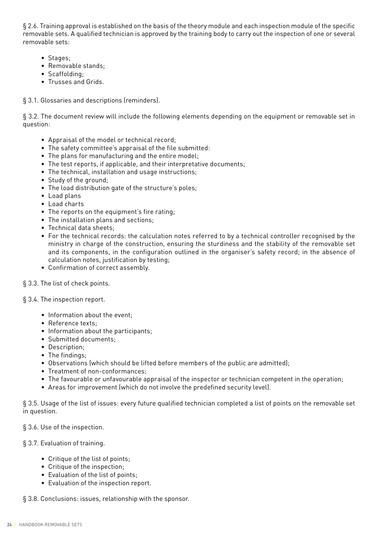§ 2.6. Training approval is established on the basis of the theory module and each inspection module of the specific removable sets. A qualified technician is approved by the training body to carry out the inspection of one or several removable sets:

- Stages;
- Removable stands;
- Scaffolding;
- Trusses and Grids.

#### § 3.1. Glossaries and descriptions (reminders).

§ 3.2. The document review will include the following elements depending on the equipment or removable set in question:

- Appraisal of the model or technical record;
- The safety committee's appraisal of the file submitted:
- The plans for manufacturing and the entire model;
- The test reports, if applicable, and their interpretative documents;
- The technical, installation and usage instructions;
- Study of the ground;
- The load distribution gate of the structure's poles;
- Load plans
- Load charts
- The reports on the equipment's fire rating;
- The installation plans and sections;
- Technical data sheets;
- For the technical records: the calculation notes referred to by a technical controller recognised by the ministry in charge of the construction, ensuring the sturdiness and the stability of the removable set and its components, in the configuration outlined in the organiser's safety record; in the absence of calculation notes, justification by testing;
- Confirmation of correct assembly.
- § 3.3. The list of check points.
- § 3.4. The inspection report.
	- Information about the event;
	- Reference texts;
	- Information about the participants;
	- Submitted documents;
	- Description;
	- The findings;
	- Observations (which should be lifted before members of the public are admitted);
	- Treatment of non-conformances;
	- The favourable or unfavourable appraisal of the inspector or technician competent in the operation;
	- Areas for improvement (which do not involve the predefined security level).

§ 3.5. Usage of the list of issues: every future qualified technician completed a list of points on the removable set in question.

§ 3.6. Use of the inspection.

#### § 3.7. Evaluation of training.

- Critique of the list of points;
- Critique of the inspection;
- Evaluation of the list of points;
- Evaluation of the inspection report.

§ 3.8. Conclusions: issues, relationship with the sponsor.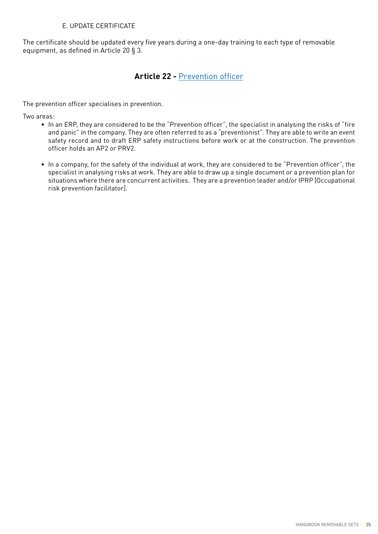#### E. UPDATE CERTIFICATE

The certificate should be updated every five years during a one-day training to each type of removable equipment, as defined in Article 20 § 3.

## **Article 22 -** Prevention officer

The prevention officer specialises in prevention.

Two areas:

- In an ERP, they are considered to be the "Prevention officer", the specialist in analysing the risks of "fire and panic" in the company. They are often referred to as a "preventionist". They are able to write an event safety record and to draft ERP safety instructions before work or at the construction. The prevention officer holds an AP2 or PRV2.
- In a company, for the safety of the individual at work, they are considered to be "Prevention officer", the specialist in analysing risks at work. They are able to draw up a single document or a prevention plan for situations where there are concurrent activities. They are a prevention leader and/or IPRP [Occupational risk prevention facilitator].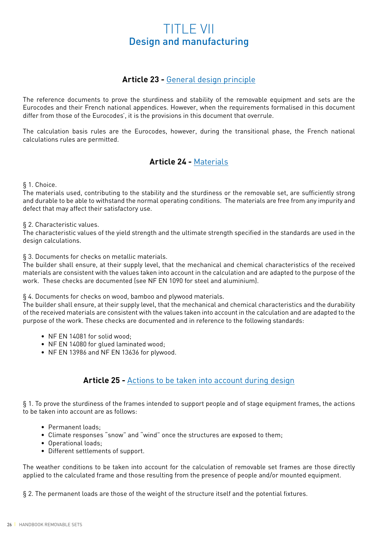## TITLE VII Design and manufacturing

## **Article 23 -** General design principle

The reference documents to prove the sturdiness and stability of the removable equipment and sets are the Eurocodes and their French national appendices. However, when the requirements formalised in this document differ from those of the Eurocodes', it is the provisions in this document that overrule.

The calculation basis rules are the Eurocodes, however, during the transitional phase, the French national calculations rules are permitted.

## **Article 24 -** Materials

§ 1. Choice.

The materials used, contributing to the stability and the sturdiness or the removable set, are sufficiently strong and durable to be able to withstand the normal operating conditions. The materials are free from any impurity and defect that may affect their satisfactory use.

#### § 2. Characteristic values.

The characteristic values of the yield strength and the ultimate strength specified in the standards are used in the design calculations.

§ 3. Documents for checks on metallic materials.

The builder shall ensure, at their supply level, that the mechanical and chemical characteristics of the received materials are consistent with the values taken into account in the calculation and are adapted to the purpose of the work. These checks are documented (see NF EN 1090 for steel and aluminium).

§ 4. Documents for checks on wood, bamboo and plywood materials.

The builder shall ensure, at their supply level, that the mechanical and chemical characteristics and the durability of the received materials are consistent with the values taken into account in the calculation and are adapted to the purpose of the work. These checks are documented and in reference to the following standards:

- NF EN 14081 for solid wood;
- NF EN 14080 for glued laminated wood;
- NF EN 13986 and NF EN 13636 for plywood.

## **Article 25 -** Actions to be taken into account during design

§ 1. To prove the sturdiness of the frames intended to support people and of stage equipment frames, the actions to be taken into account are as follows:

- Permanent loads;
- Climate responses "snow" and "wind" once the structures are exposed to them;
- Operational loads;
- Different settlements of support.

The weather conditions to be taken into account for the calculation of removable set frames are those directly applied to the calculated frame and those resulting from the presence of people and/or mounted equipment.

§ 2. The permanent loads are those of the weight of the structure itself and the potential fixtures.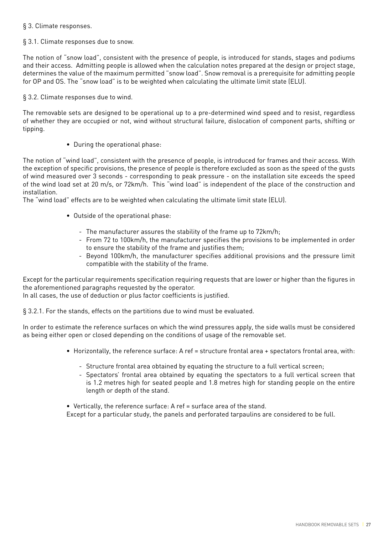#### § 3. Climate responses.

#### § 3.1. Climate responses due to snow.

The notion of "snow load", consistent with the presence of people, is introduced for stands, stages and podiums and their access. Admitting people is allowed when the calculation notes prepared at the design or project stage, determines the value of the maximum permitted "snow load". Snow removal is a prerequisite for admitting people for OP and OS. The "snow load" is to be weighted when calculating the ultimate limit state (ELU).

#### § 3.2. Climate responses due to wind.

The removable sets are designed to be operational up to a pre-determined wind speed and to resist, regardless of whether they are occupied or not, wind without structural failure, dislocation of component parts, shifting or tipping.

• During the operational phase:

The notion of "wind load", consistent with the presence of people, is introduced for frames and their access. With the exception of specific provisions, the presence of people is therefore excluded as soon as the speed of the gusts of wind measured over 3 seconds - corresponding to peak pressure - on the installation site exceeds the speed of the wind load set at 20 m/s, or 72km/h. This "wind load" is independent of the place of the construction and installation.

The "wind load" effects are to be weighted when calculating the ultimate limit state (ELU).

- Outside of the operational phase:
	- The manufacturer assures the stability of the frame up to 72km/h;
	- From 72 to 100km/h, the manufacturer specifies the provisions to be implemented in order to ensure the stability of the frame and justifies them;
	- Beyond 100km/h, the manufacturer specifies additional provisions and the pressure limit compatible with the stability of the frame.

Except for the particular requirements specification requiring requests that are lower or higher than the figures in the aforementioned paragraphs requested by the operator.

In all cases, the use of deduction or plus factor coefficients is justified.

§ 3.2.1. For the stands, effects on the partitions due to wind must be evaluated.

In order to estimate the reference surfaces on which the wind pressures apply, the side walls must be considered as being either open or closed depending on the conditions of usage of the removable set.

- Horizontally, the reference surface: A ref = structure frontal area + spectators frontal area, with:
	- Structure frontal area obtained by equating the structure to a full vertical screen;
	- Spectators' frontal area obtained by equating the spectators to a full vertical screen that is 1.2 metres high for seated people and 1.8 metres high for standing people on the entire length or depth of the stand.
- Vertically, the reference surface: A ref = surface area of the stand.

Except for a particular study, the panels and perforated tarpaulins are considered to be full.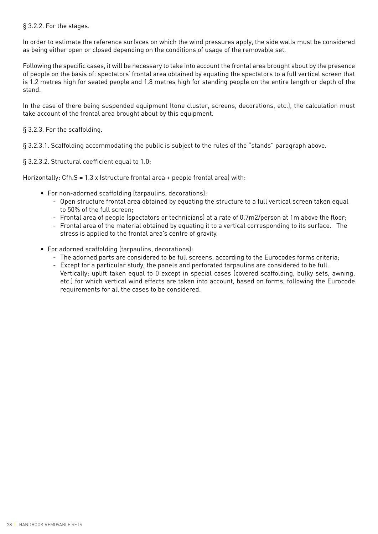#### § 3.2.2. For the stages.

In order to estimate the reference surfaces on which the wind pressures apply, the side walls must be considered as being either open or closed depending on the conditions of usage of the removable set.

Following the specific cases, it will be necessary to take into account the frontal area brought about by the presence of people on the basis of: spectators' frontal area obtained by equating the spectators to a full vertical screen that is 1.2 metres high for seated people and 1.8 metres high for standing people on the entire length or depth of the stand.

In the case of there being suspended equipment (tone cluster, screens, decorations, etc.), the calculation must take account of the frontal area brought about by this equipment.

#### § 3.2.3. For the scaffolding.

§ 3.2.3.1. Scaffolding accommodating the public is subject to the rules of the "stands" paragraph above.

§ 3.2.3.2. Structural coefficient equal to 1.0:

Horizontally: Cfh.S = 1.3 x (structure frontal area + people frontal area) with:

- For non-adorned scaffolding (tarpaulins, decorations):
	- Open structure frontal area obtained by equating the structure to a full vertical screen taken equal to 50% of the full screen;
	- Frontal area of people (spectators or technicians) at a rate of 0.7m2/person at 1m above the floor;
	- Frontal area of the material obtained by equating it to a vertical corresponding to its surface. The stress is applied to the frontal area's centre of gravity.
- For adorned scaffolding (tarpaulins, decorations):
	- The adorned parts are considered to be full screens, according to the Eurocodes forms criteria;
	- Except for a particular study, the panels and perforated tarpaulins are considered to be full. Vertically: uplift taken equal to 0 except in special cases (covered scaffolding, bulky sets, awning, etc.) for which vertical wind effects are taken into account, based on forms, following the Eurocode requirements for all the cases to be considered.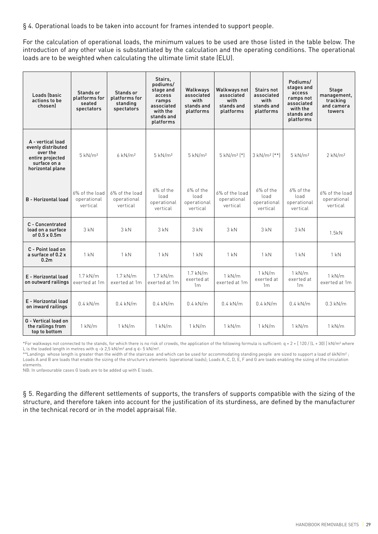§ 4. Operational loads to be taken into account for frames intended to support people.

For the calculation of operational loads, the minimum values to be used are those listed in the table below. The introduction of any other value is substantiated by the calculation and the operating conditions. The operational loads are to be weighted when calculating the ultimate limit state (ELU).

| Loads (basic<br>actions to be<br>chosenl                                                                    | Stands or<br>platforms for<br>seated<br>spectators | Stands or<br>platforms for<br>standing<br>spectators | Stairs.<br>podiums/<br>stage and<br>access<br>ramps<br>associated<br>with the<br>stands and<br>platforms | Walkways<br>associated<br>with<br>stands and<br>platforms | Walkways not<br>associated<br>with<br>stands and<br>platforms | Stairs not<br>associated<br>with<br>stands and<br>platforms | Podiums/<br>stages and<br>access<br>ramps not<br>associated<br>with the<br>stands and<br>platforms | Stage<br>management,<br>tracking<br>and camera<br>towers |
|-------------------------------------------------------------------------------------------------------------|----------------------------------------------------|------------------------------------------------------|----------------------------------------------------------------------------------------------------------|-----------------------------------------------------------|---------------------------------------------------------------|-------------------------------------------------------------|----------------------------------------------------------------------------------------------------|----------------------------------------------------------|
| A - vertical load<br>evenly distributed<br>over the<br>entire projected<br>surface on a<br>horizontal plane | $5$ kN/ $m2$                                       | $6$ kN/ $m2$                                         | $5$ kN/ $m2$                                                                                             | $5$ kN/ $m2$                                              | $5$ kN/m <sup>2</sup> $(*)$                                   | $3$ kN/m <sup>2</sup> $[**]$                                | $5$ kN/ $m2$                                                                                       | $2$ kN/ $m2$                                             |
| <b>B</b> - Horizontal load                                                                                  | 6% of the load<br>operational<br>vertical          | 6% of the load<br>operational<br>vertical            | $6\%$ of the<br>load<br>operational<br>vertical                                                          | $6\%$ of the<br>load<br>operational<br>vertical           | 6% of the load<br>operational<br>vertical                     | $6\%$ of the<br>load<br>operational<br>vertical             | $6\%$ of the<br>load<br>operational<br>vertical                                                    | 6% of the load<br>operational<br>vertical                |
| C - Concentrated<br>load on a surface<br>of $0.5 \times 0.5$ m                                              | 3kN                                                | 3kN                                                  | 3kN                                                                                                      | 3kN                                                       | $3$ kN                                                        | 3kN                                                         | 3kN                                                                                                | 1.5kN                                                    |
| C - Point load on<br>a surface of 0.2 x<br>0.2 <sub>m</sub>                                                 | 1 kN                                               | 1 kN                                                 | $1$ kN                                                                                                   | 1 kN                                                      | $1$ kN                                                        | 1 kN                                                        | $1$ kN                                                                                             | 1 kN                                                     |
| E - Horizontal load<br>on outward railings                                                                  | $1.7$ kN/m<br>exerted at 1m                        | $1.7$ kN/m<br>exerted at 1m                          | $1.7$ kN/m<br>exerted at 1m                                                                              | $1.7$ kN/m<br>exerted at<br>1 <sub>m</sub>                | $1$ kN/m<br>exerted at 1m                                     | $1$ kN/m<br>exerted at<br>1 <sub>m</sub>                    | $1$ kN/m<br>exerted at<br>1 <sub>m</sub>                                                           | $1$ kN/m<br>exerted at 1m                                |
| E - Horizontal load<br>on inward railings                                                                   | $0.4$ kN/m                                         | $0.4$ kN/m                                           | $0.4$ kN/m                                                                                               | $0.4$ kN/m                                                | $0.4$ kN/m                                                    | $0.4$ kN/m                                                  | $0.4$ kN/m                                                                                         | $0.3$ kN/m                                               |
| G - Vertical load on<br>the railings from<br>top to bottom                                                  | $1$ kN/m                                           | $1$ kN/m                                             | $1$ kN/m                                                                                                 | $1$ kN/m                                                  | $1$ kN/m                                                      | $1$ kN/m                                                    | $1$ kN/m                                                                                           | $1$ kN/m                                                 |

\*For walkways not connected to the stands, for which there is no risk of crowds, the application of the following formula is sufficient:  $q = 2 + [120 / [L + 30] ] kN/m<sup>2</sup>$  where L is the loaded length in metres with  $q \rightarrow 2.5$  kN/m<sup>2</sup> and  $q \leftarrow 5$  kN/m<sup>2</sup>.

\*\*Landings whose length is greater than the width of the staircase and which can be used for accommodating standing people are sized to support a load of 6kN/m<sup>2</sup>; Loads A and B are loads that enable the sizing of the structure's elements (operational loads); Loads A, C, D, E, F and G are loads enabling the sizing of the circulation elements.

NB: In unfavourable cases G loads are to be added up with E loads.

§ 5. Regarding the different settlements of supports, the transfers of supports compatible with the sizing of the structure, and therefore taken into account for the justification of its sturdiness, are defined by the manufacturer in the technical record or in the model appraisal file.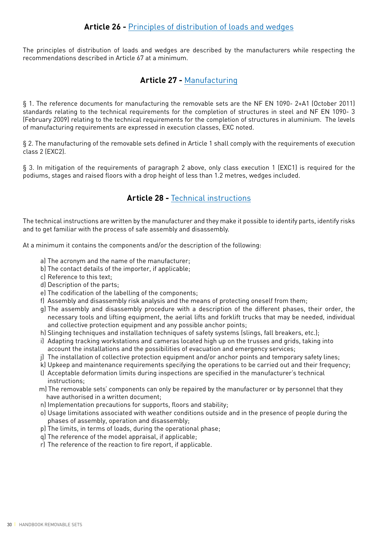The principles of distribution of loads and wedges are described by the manufacturers while respecting the recommendations described in Article 67 at a minimum.

## **Article 27 -** Manufacturing

§ 1. The reference documents for manufacturing the removable sets are the NF EN 1090- 2+A1 (October 2011) standards relating to the technical requirements for the completion of structures in steel and NF EN 1090- 3 (February 2009) relating to the technical requirements for the completion of structures in aluminium. The levels of manufacturing requirements are expressed in execution classes, EXC noted.

§ 2. The manufacturing of the removable sets defined in Article 1 shall comply with the requirements of execution class 2 (EXC2).

§ 3. In mitigation of the requirements of paragraph 2 above, only class execution 1 (EXC1) is required for the podiums, stages and raised floors with a drop height of less than 1.2 metres, wedges included.

## **Article 28 -** Technical instructions

The technical instructions are written by the manufacturer and they make it possible to identify parts, identify risks and to get familiar with the process of safe assembly and disassembly.

At a minimum it contains the components and/or the description of the following:

- a) The acronym and the name of the manufacturer;
- b) The contact details of the importer, if applicable;
- c) Reference to this text;
- d) Description of the parts;
- e) The codification of the labelling of the components;
- f) Assembly and disassembly risk analysis and the means of protecting oneself from them;
- g) The assembly and disassembly procedure with a description of the different phases, their order, the necessary tools and lifting equipment, the aerial lifts and forklift trucks that may be needed, individual and collective protection equipment and any possible anchor points;
- h) Slinging techniques and installation techniques of safety systems (slings, fall breakers, etc.);
- i) Adapting tracking workstations and cameras located high up on the trusses and grids, taking into account the installations and the possibilities of evacuation and emergency services;
- j) The installation of collective protection equipment and/or anchor points and temporary safety lines;
- k) Upkeep and maintenance requirements specifying the operations to be carried out and their frequency;
- l) Acceptable deformation limits during inspections are specified in the manufacturer's technical instructions;
- m) The removable sets' components can only be repaired by the manufacturer or by personnel that they have authorised in a written document;
- n) Implementation precautions for supports, floors and stability;
- o) Usage limitations associated with weather conditions outside and in the presence of people during the phases of assembly, operation and disassembly;
- p) The limits, in terms of loads, during the operational phase;
- q) The reference of the model appraisal, if applicable;
- r) The reference of the reaction to fire report, if applicable.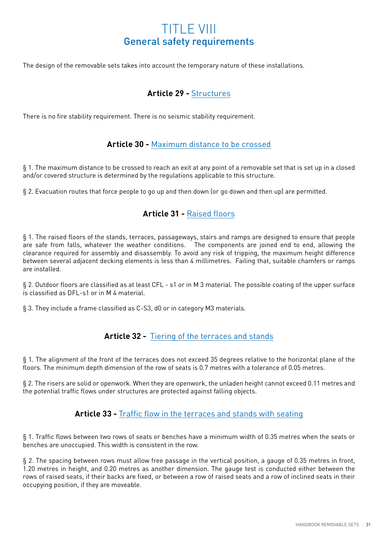## TITLE VIII General safety requirements

The design of the removable sets takes into account the temporary nature of these installations.

## **Article 29 -** Structures

There is no fire stability requirement. There is no seismic stability requirement.

## **Article 30 -** Maximum distance to be crossed

§ 1. The maximum distance to be crossed to reach an exit at any point of a removable set that is set up in a closed and/or covered structure is determined by the regulations applicable to this structure.

§ 2. Evacuation routes that force people to go up and then down (or go down and then up) are permitted.

## **Article 31 -** Raised floors

§ 1. The raised floors of the stands, terraces, passageways, stairs and ramps are designed to ensure that people are safe from falls, whatever the weather conditions. The components are joined end to end, allowing the clearance required for assembly and disassembly. To avoid any risk of tripping, the maximum height difference between several adjacent decking elements is less than 4 millimetres. Failing that, suitable chamfers or ramps are installed.

§ 2. Outdoor floors are classified as at least CFL - s1 or in M 3 material. The possible coating of the upper surface is classified as DFL-s1 or in M 4 material.

§ 3. They include a frame classified as C-S3, d0 or in category M3 materials.

## **Article 32 -** Tiering of the terraces and stands

§ 1. The alignment of the front of the terraces does not exceed 35 degrees relative to the horizontal plane of the floors. The minimum depth dimension of the row of seats is 0.7 metres with a tolerance of 0.05 metres.

§ 2. The risers are solid or openwork. When they are openwork, the unladen height cannot exceed 0.11 metres and the potential traffic flows under structures are protected against falling objects.

## **Article 33 -** Traffic flow in the terraces and stands with seating

§ 1. Traffic flows between two rows of seats or benches have a minimum width of 0.35 metres when the seats or benches are unoccupied. This width is consistent in the row.

§ 2. The spacing between rows must allow free passage in the vertical position, a gauge of 0.35 metres in front, 1.20 metres in height, and 0.20 metres as another dimension. The gauge test is conducted either between the rows of raised seats, if their backs are fixed, or between a row of raised seats and a row of inclined seats in their occupying position, if they are moveable.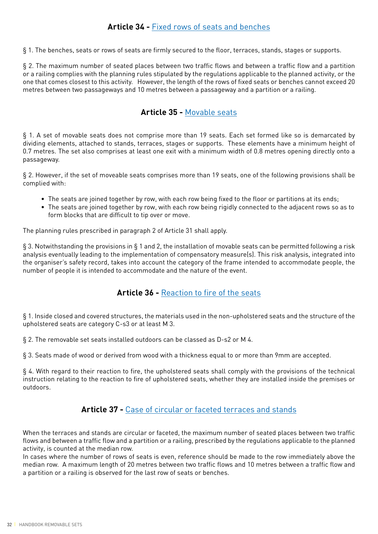§ 1. The benches, seats or rows of seats are firmly secured to the floor, terraces, stands, stages or supports.

§ 2. The maximum number of seated places between two traffic flows and between a traffic flow and a partition or a railing complies with the planning rules stipulated by the regulations applicable to the planned activity, or the one that comes closest to this activity. However, the length of the rows of fixed seats or benches cannot exceed 20 metres between two passageways and 10 metres between a passageway and a partition or a railing.

## **Article 35 -** Movable seats

§ 1. A set of movable seats does not comprise more than 19 seats. Each set formed like so is demarcated by dividing elements, attached to stands, terraces, stages or supports. These elements have a minimum height of 0.7 metres. The set also comprises at least one exit with a minimum width of 0.8 metres opening directly onto a passageway.

§ 2. However, if the set of moveable seats comprises more than 19 seats, one of the following provisions shall be complied with:

- The seats are joined together by row, with each row being fixed to the floor or partitions at its ends;
- The seats are joined together by row, with each row being rigidly connected to the adjacent rows so as to form blocks that are difficult to tip over or move.

The planning rules prescribed in paragraph 2 of Article 31 shall apply.

§ 3. Notwithstanding the provisions in § 1 and 2, the installation of movable seats can be permitted following a risk analysis eventually leading to the implementation of compensatory measure(s). This risk analysis, integrated into the organiser's safety record, takes into account the category of the frame intended to accommodate people, the number of people it is intended to accommodate and the nature of the event.

## **Article 36 -** Reaction to fire of the seats

§ 1. Inside closed and covered structures, the materials used in the non-upholstered seats and the structure of the upholstered seats are category C-s3 or at least M 3.

§ 2. The removable set seats installed outdoors can be classed as D-s2 or M 4.

§ 3. Seats made of wood or derived from wood with a thickness equal to or more than 9mm are accepted.

§ 4. With regard to their reaction to fire, the upholstered seats shall comply with the provisions of the technical instruction relating to the reaction to fire of upholstered seats, whether they are installed inside the premises or outdoors.

## **Article 37 -** Case of circular or faceted terraces and stands

When the terraces and stands are circular or faceted, the maximum number of seated places between two traffic flows and between a traffic flow and a partition or a railing, prescribed by the regulations applicable to the planned activity, is counted at the median row.

In cases where the number of rows of seats is even, reference should be made to the row immediately above the median row. A maximum length of 20 metres between two traffic flows and 10 metres between a traffic flow and a partition or a railing is observed for the last row of seats or benches.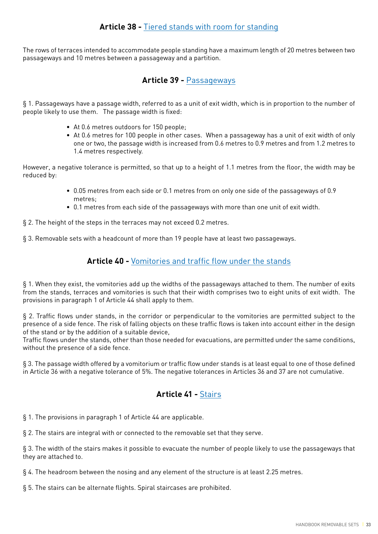The rows of terraces intended to accommodate people standing have a maximum length of 20 metres between two passageways and 10 metres between a passageway and a partition.

## **Article 39 -** Passageways

§ 1. Passageways have a passage width, referred to as a unit of exit width, which is in proportion to the number of people likely to use them. The passage width is fixed:

- At 0.6 metres outdoors for 150 people;
- At 0.6 metres for 100 people in other cases. When a passageway has a unit of exit width of only one or two, the passage width is increased from 0.6 metres to 0.9 metres and from 1.2 metres to 1.4 metres respectively.

However, a negative tolerance is permitted, so that up to a height of 1.1 metres from the floor, the width may be reduced by:

- 0.05 metres from each side or 0.1 metres from on only one side of the passageways of 0.9 metres;
- 0.1 metres from each side of the passageways with more than one unit of exit width.

§ 2. The height of the steps in the terraces may not exceed 0.2 metres.

§ 3. Removable sets with a headcount of more than 19 people have at least two passageways.

## **Article 40 -** Vomitories and traffic flow under the stands

§ 1. When they exist, the vomitories add up the widths of the passageways attached to them. The number of exits from the stands, terraces and vomitories is such that their width comprises two to eight units of exit width. The provisions in paragraph 1 of Article 44 shall apply to them.

§ 2. Traffic flows under stands, in the corridor or perpendicular to the vomitories are permitted subject to the presence of a side fence. The risk of falling objects on these traffic flows is taken into account either in the design of the stand or by the addition of a suitable device,

Traffic flows under the stands, other than those needed for evacuations, are permitted under the same conditions, without the presence of a side fence.

§ 3. The passage width offered by a vomitorium or traffic flow under stands is at least equal to one of those defined in Article 36 with a negative tolerance of 5%. The negative tolerances in Articles 36 and 37 are not cumulative.

## **Article 41 -** Stairs

§ 1. The provisions in paragraph 1 of Article 44 are applicable.

§ 2. The stairs are integral with or connected to the removable set that they serve.

§ 3. The width of the stairs makes it possible to evacuate the number of people likely to use the passageways that they are attached to.

§ 4. The headroom between the nosing and any element of the structure is at least 2.25 metres.

§ 5. The stairs can be alternate flights. Spiral staircases are prohibited.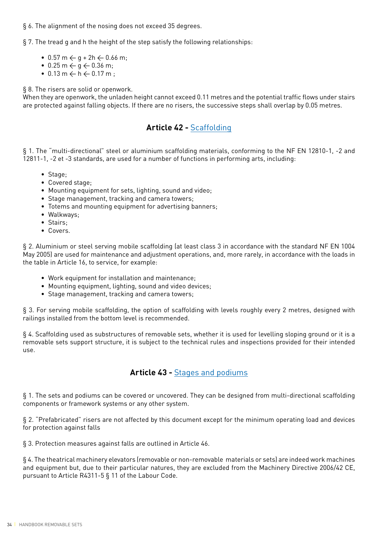#### § 6. The alignment of the nosing does not exceed 35 degrees.

§ 7. The tread g and h the height of the step satisfy the following relationships:

- 0.57 m  $\leftarrow$  q + 2h  $\leftarrow$  0.66 m;
- 0.25 m  $\leftarrow$  g  $\leftarrow$  0.36 m;
- $0.13 \text{ m} \leftarrow \text{h} \leftarrow 0.17 \text{ m}$ :

§ 8. The risers are solid or openwork.

When they are openwork, the unladen height cannot exceed 0.11 metres and the potential traffic flows under stairs are protected against falling objects. If there are no risers, the successive steps shall overlap by 0.05 metres.

## **Article 42 -** Scaffolding

§ 1. The "multi-directional" steel or aluminium scaffolding materials, conforming to the NF EN 12810-1, -2 and 12811-1, -2 et -3 standards, are used for a number of functions in performing arts, including:

- Stage;
- Covered stage;
- Mounting equipment for sets, lighting, sound and video;
- Stage management, tracking and camera towers;
- Totems and mounting equipment for advertising banners;
- Walkways;
- Stairs;
- Covers.

§ 2. Aluminium or steel serving mobile scaffolding (at least class 3 in accordance with the standard NF EN 1004 May 2005) are used for maintenance and adjustment operations, and, more rarely, in accordance with the loads in the table in Article 16, to service, for example:

- Work equipment for installation and maintenance;
- Mounting equipment, lighting, sound and video devices;
- Stage management, tracking and camera towers;

§ 3. For serving mobile scaffolding, the option of scaffolding with levels roughly every 2 metres, designed with railings installed from the bottom level is recommended.

§ 4. Scaffolding used as substructures of removable sets, whether it is used for levelling sloping ground or it is a removable sets support structure, it is subject to the technical rules and inspections provided for their intended use.

## **Article 43 -** Stages and podiums

§ 1. The sets and podiums can be covered or uncovered. They can be designed from multi-directional scaffolding components or framework systems or any other system.

§ 2. "Prefabricated" risers are not affected by this document except for the minimum operating load and devices for protection against falls

§ 3. Protection measures against falls are outlined in Article 46.

§ 4. The theatrical machinery elevators (removable or non-removable materials or sets) are indeed work machines and equipment but, due to their particular natures, they are excluded from the Machinery Directive 2006/42 CE, pursuant to Article R4311-5 § 11 of the Labour Code.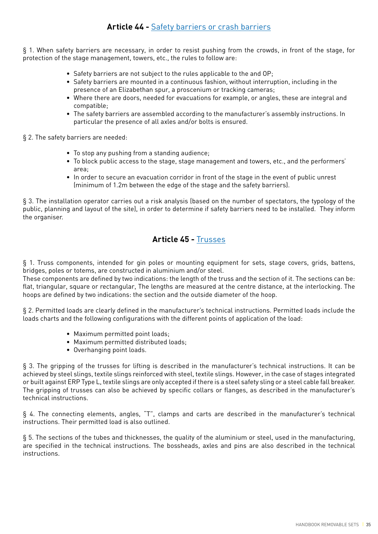## **Article 44 -** Safety barriers or crash barriers

§ 1. When safety barriers are necessary, in order to resist pushing from the crowds, in front of the stage, for protection of the stage management, towers, etc., the rules to follow are:

- Safety barriers are not subject to the rules applicable to the and OP;
- Safety barriers are mounted in a continuous fashion, without interruption, including in the presence of an Elizabethan spur, a proscenium or tracking cameras;
- Where there are doors, needed for evacuations for example, or angles, these are integral and compatible;
- The safety barriers are assembled according to the manufacturer's assembly instructions. In particular the presence of all axles and/or bolts is ensured.

§ 2. The safety barriers are needed:

- To stop any pushing from a standing audience;
- To block public access to the stage, stage management and towers, etc., and the performers' area;
- In order to secure an evacuation corridor in front of the stage in the event of public unrest (minimum of 1.2m between the edge of the stage and the safety barriers).

§ 3. The installation operator carries out a risk analysis (based on the number of spectators, the typology of the public, planning and layout of the site), in order to determine if safety barriers need to be installed. They inform the organiser.

## **Article 45 -** Trusses

§ 1. Truss components, intended for gin poles or mounting equipment for sets, stage covers, grids, battens, bridges, poles or totems, are constructed in aluminium and/or steel.

These components are defined by two indications: the length of the truss and the section of it. The sections can be: flat, triangular, square or rectangular, The lengths are measured at the centre distance, at the interlocking. The hoops are defined by two indications: the section and the outside diameter of the hoop.

§ 2. Permitted loads are clearly defined in the manufacturer's technical instructions. Permitted loads include the loads charts and the following configurations with the different points of application of the load:

- Maximum permitted point loads;
- Maximum permitted distributed loads;
- Overhanging point loads.

§ 3. The gripping of the trusses for lifting is described in the manufacturer's technical instructions. It can be achieved by steel slings, textile slings reinforced with steel, textile slings. However, in the case of stages integrated or built against ERP Type L, textile slings are only accepted if there is a steel safety sling or a steel cable fall breaker. The gripping of trusses can also be achieved by specific collars or flanges, as described in the manufacturer's technical instructions.

§ 4. The connecting elements, angles, "T", clamps and carts are described in the manufacturer's technical instructions. Their permitted load is also outlined.

§ 5. The sections of the tubes and thicknesses, the quality of the aluminium or steel, used in the manufacturing, are specified in the technical instructions. The bossheads, axles and pins are also described in the technical instructions.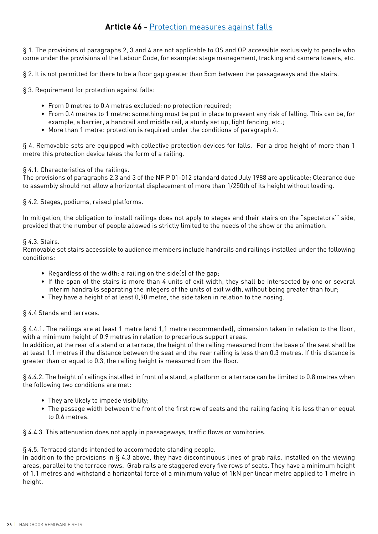§ 1. The provisions of paragraphs 2, 3 and 4 are not applicable to OS and OP accessible exclusively to people who come under the provisions of the Labour Code, for example: stage management, tracking and camera towers, etc.

§ 2. It is not permitted for there to be a floor gap greater than 5cm between the passageways and the stairs.

§ 3. Requirement for protection against falls:

- From 0 metres to 0.4 metres excluded: no protection required;
- From 0.4 metres to 1 metre: something must be put in place to prevent any risk of falling. This can be, for example, a barrier, a handrail and middle rail, a sturdy set up, light fencing, etc.;
- More than 1 metre: protection is required under the conditions of paragraph 4.

§ 4. Removable sets are equipped with collective protection devices for falls. For a drop height of more than 1 metre this protection device takes the form of a railing.

### § 4.1. Characteristics of the railings.

The provisions of paragraphs 2.3 and 3 of the NF P 01-012 standard dated July 1988 are applicable; Clearance due to assembly should not allow a horizontal displacement of more than 1/250th of its height without loading.

§ 4.2. Stages, podiums, raised platforms.

In mitigation, the obligation to install railings does not apply to stages and their stairs on the "spectators'" side, provided that the number of people allowed is strictly limited to the needs of the show or the animation.

### § 4.3. Stairs.

Removable set stairs accessible to audience members include handrails and railings installed under the following conditions:

- Regardless of the width: a railing on the side(s) of the gap;
- If the span of the stairs is more than 4 units of exit width, they shall be intersected by one or several interim handrails separating the integers of the units of exit width, without being greater than four;
- They have a height of at least 0,90 metre, the side taken in relation to the nosing.

§ 4.4 Stands and terraces.

§ 4.4.1. The railings are at least 1 metre (and 1,1 metre recommended), dimension taken in relation to the floor, with a minimum height of 0.9 metres in relation to precarious support areas.

In addition, at the rear of a stand or a terrace, the height of the railing measured from the base of the seat shall be at least 1.1 metres if the distance between the seat and the rear railing is less than 0.3 metres. If this distance is greater than or equal to 0.3, the railing height is measured from the floor.

§ 4.4.2. The height of railings installed in front of a stand, a platform or a terrace can be limited to 0.8 metres when the following two conditions are met:

- They are likely to impede visibility;
- The passage width between the front of the first row of seats and the railing facing it is less than or equal to 0.6 metres.

§ 4.4.3. This attenuation does not apply in passageways, traffic flows or vomitories.

### § 4.5. Terraced stands intended to accommodate standing people.

In addition to the provisions in § 4.3 above, they have discontinuous lines of grab rails, installed on the viewing areas, parallel to the terrace rows. Grab rails are staggered every five rows of seats. They have a minimum height of 1.1 metres and withstand a horizontal force of a minimum value of 1kN per linear metre applied to 1 metre in height.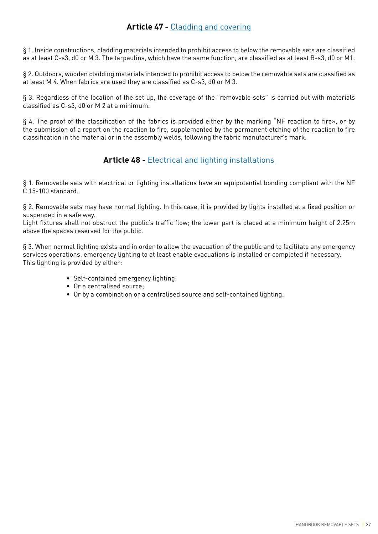# **Article 47 -** Cladding and covering

§ 1. Inside constructions, cladding materials intended to prohibit access to below the removable sets are classified as at least C-s3, d0 or M 3. The tarpaulins, which have the same function, are classified as at least B-s3, d0 or M1.

§ 2. Outdoors, wooden cladding materials intended to prohibit access to below the removable sets are classified as at least M 4. When fabrics are used they are classified as C-s3, d0 or M 3.

§ 3. Regardless of the location of the set up, the coverage of the "removable sets" is carried out with materials classified as C-s3, d0 or M 2 at a minimum.

§ 4. The proof of the classification of the fabrics is provided either by the marking "NF reaction to fire», or by the submission of a report on the reaction to fire, supplemented by the permanent etching of the reaction to fire classification in the material or in the assembly welds, following the fabric manufacturer's mark.

# **Article 48 -** Electrical and lighting installations

§ 1. Removable sets with electrical or lighting installations have an equipotential bonding compliant with the NF C 15-100 standard.

§ 2. Removable sets may have normal lighting. In this case, it is provided by lights installed at a fixed position or suspended in a safe way.

Light fixtures shall not obstruct the public's traffic flow; the lower part is placed at a minimum height of 2.25m above the spaces reserved for the public.

§ 3. When normal lighting exists and in order to allow the evacuation of the public and to facilitate any emergency services operations, emergency lighting to at least enable evacuations is installed or completed if necessary. This lighting is provided by either:

- Self-contained emergency lighting;
- Or a centralised source;
- Or by a combination or a centralised source and self-contained lighting.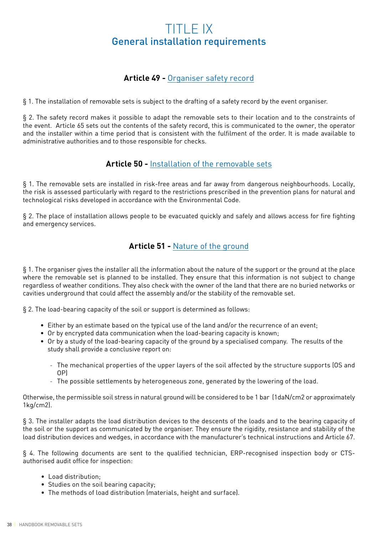# TITLE IX General installation requirements

# **Article 49 -** Organiser safety record

§ 1. The installation of removable sets is subject to the drafting of a safety record by the event organiser.

§ 2. The safety record makes it possible to adapt the removable sets to their location and to the constraints of the event. Article 65 sets out the contents of the safety record, this is communicated to the owner, the operator and the installer within a time period that is consistent with the fulfilment of the order. It is made available to administrative authorities and to those responsible for checks.

# **Article 50 -** Installation of the removable sets

§ 1. The removable sets are installed in risk-free areas and far away from dangerous neighbourhoods. Locally, the risk is assessed particularly with regard to the restrictions prescribed in the prevention plans for natural and technological risks developed in accordance with the Environmental Code.

§ 2. The place of installation allows people to be evacuated quickly and safely and allows access for fire fighting and emergency services.

# **Article 51 -** Nature of the ground

§ 1. The organiser gives the installer all the information about the nature of the support or the ground at the place where the removable set is planned to be installed. They ensure that this information is not subject to change regardless of weather conditions. They also check with the owner of the land that there are no buried networks or cavities underground that could affect the assembly and/or the stability of the removable set.

§ 2. The load-bearing capacity of the soil or support is determined as follows:

- Either by an estimate based on the typical use of the land and/or the recurrence of an event;
- Or by encrypted data communication when the load-bearing capacity is known;
- Or by a study of the load-bearing capacity of the ground by a specialised company. The results of the study shall provide a conclusive report on:
	- The mechanical properties of the upper layers of the soil affected by the structure supports (OS and OP)
	- The possible settlements by heterogeneous zone, generated by the lowering of the load.

Otherwise, the permissible soil stress in natural ground will be considered to be 1 bar (1daN/cm2 or approximately 1kg/cm2).

§ 3. The installer adapts the load distribution devices to the descents of the loads and to the bearing capacity of the soil or the support as communicated by the organiser. They ensure the rigidity, resistance and stability of the load distribution devices and wedges, in accordance with the manufacturer's technical instructions and Article 67.

§ 4. The following documents are sent to the qualified technician, ERP-recognised inspection body or CTSauthorised audit office for inspection:

- Load distribution:
- Studies on the soil bearing capacity;
- The methods of load distribution (materials, height and surface).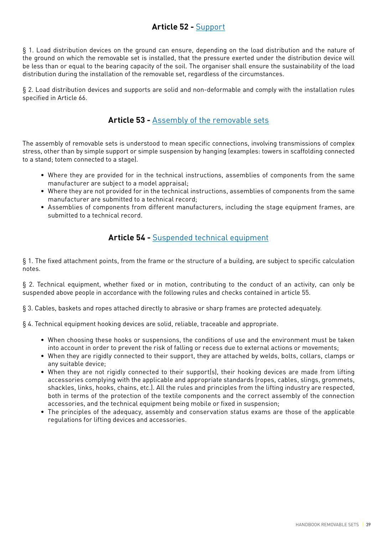# **Article 52 -** Support

§ 1. Load distribution devices on the ground can ensure, depending on the load distribution and the nature of the ground on which the removable set is installed, that the pressure exerted under the distribution device will be less than or equal to the bearing capacity of the soil. The organiser shall ensure the sustainability of the load distribution during the installation of the removable set, regardless of the circumstances.

§ 2. Load distribution devices and supports are solid and non-deformable and comply with the installation rules specified in Article 66.

# **Article 53 -** Assembly of the removable sets

The assembly of removable sets is understood to mean specific connections, involving transmissions of complex stress, other than by simple support or simple suspension by hanging (examples: towers in scaffolding connected to a stand; totem connected to a stage).

- Where they are provided for in the technical instructions, assemblies of components from the same manufacturer are subject to a model appraisal;
- Where they are not provided for in the technical instructions, assemblies of components from the same manufacturer are submitted to a technical record;
- Assemblies of components from different manufacturers, including the stage equipment frames, are submitted to a technical record.

# **Article 54 -** Suspended technical equipment

§ 1. The fixed attachment points, from the frame or the structure of a building, are subject to specific calculation notes.

§ 2. Technical equipment, whether fixed or in motion, contributing to the conduct of an activity, can only be suspended above people in accordance with the following rules and checks contained in article 55.

§ 3. Cables, baskets and ropes attached directly to abrasive or sharp frames are protected adequately.

§ 4. Technical equipment hooking devices are solid, reliable, traceable and appropriate.

- When choosing these hooks or suspensions, the conditions of use and the environment must be taken into account in order to prevent the risk of falling or recess due to external actions or movements;
- When they are rigidly connected to their support, they are attached by welds, bolts, collars, clamps or any suitable device;
- When they are not rigidly connected to their support(s), their hooking devices are made from lifting accessories complying with the applicable and appropriate standards (ropes, cables, slings, grommets, shackles, links, hooks, chains, etc.). All the rules and principles from the lifting industry are respected, both in terms of the protection of the textile components and the correct assembly of the connection accessories, and the technical equipment being mobile or fixed in suspension;
- The principles of the adequacy, assembly and conservation status exams are those of the applicable regulations for lifting devices and accessories.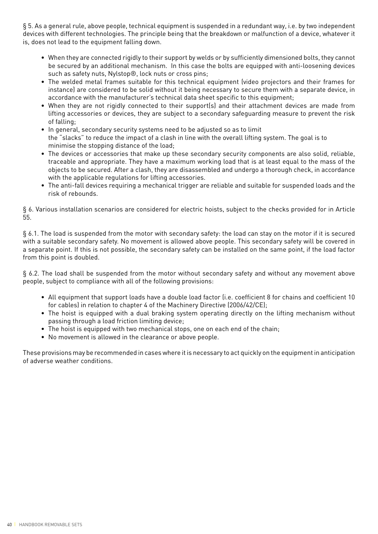§ 5. As a general rule, above people, technical equipment is suspended in a redundant way, i.e. by two independent devices with different technologies. The principle being that the breakdown or malfunction of a device, whatever it is, does not lead to the equipment falling down.

- When they are connected rigidly to their support by welds or by sufficiently dimensioned bolts, they cannot be secured by an additional mechanism. In this case the bolts are equipped with anti-loosening devices such as safety nuts, Nylstop®, lock nuts or cross pins;
- The welded metal frames suitable for this technical equipment (video projectors and their frames for instance) are considered to be solid without it being necessary to secure them with a separate device, in accordance with the manufacturer's technical data sheet specific to this equipment;
- When they are not rigidly connected to their support(s) and their attachment devices are made from lifting accessories or devices, they are subject to a secondary safeguarding measure to prevent the risk of falling;
- In general, secondary security systems need to be adjusted so as to limit the "slacks" to reduce the impact of a clash in line with the overall lifting system. The goal is to minimise the stopping distance of the load;
- The devices or accessories that make up these secondary security components are also solid, reliable, traceable and appropriate. They have a maximum working load that is at least equal to the mass of the objects to be secured. After a clash, they are disassembled and undergo a thorough check, in accordance with the applicable regulations for lifting accessories.
- The anti-fall devices requiring a mechanical trigger are reliable and suitable for suspended loads and the risk of rebounds.

§ 6. Various installation scenarios are considered for electric hoists, subject to the checks provided for in Article 55.

§ 6.1. The load is suspended from the motor with secondary safety: the load can stay on the motor if it is secured with a suitable secondary safety. No movement is allowed above people. This secondary safety will be covered in a separate point. If this is not possible, the secondary safety can be installed on the same point, if the load factor from this point is doubled.

§ 6.2. The load shall be suspended from the motor without secondary safety and without any movement above people, subject to compliance with all of the following provisions:

- All equipment that support loads have a double load factor (i.e. coefficient 8 for chains and coefficient 10 for cables) in relation to chapter 4 of the Machinery Directive (2006/42/CE);
- The hoist is equipped with a dual braking system operating directly on the lifting mechanism without passing through a load friction limiting device;
- The hoist is equipped with two mechanical stops, one on each end of the chain;
- No movement is allowed in the clearance or above people.

These provisions may be recommended in cases where it is necessary to act quickly on the equipment in anticipation of adverse weather conditions.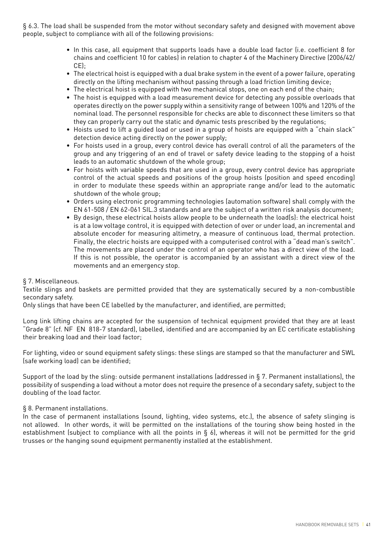§ 6.3. The load shall be suspended from the motor without secondary safety and designed with movement above people, subject to compliance with all of the following provisions:

- In this case, all equipment that supports loads have a double load factor (i.e. coefficient 8 for chains and coefficient 10 for cables) in relation to chapter 4 of the Machinery Directive (2006/42/ CE);
- The electrical hoist is equipped with a dual brake system in the event of a power failure, operating directly on the lifting mechanism without passing through a load friction limiting device;
- The electrical hoist is equipped with two mechanical stops, one on each end of the chain;
- The hoist is equipped with a load measurement device for detecting any possible overloads that operates directly on the power supply within a sensitivity range of between 100% and 120% of the nominal load. The personnel responsible for checks are able to disconnect these limiters so that they can properly carry out the static and dynamic tests prescribed by the regulations;
- Hoists used to lift a guided load or used in a group of hoists are equipped with a "chain slack" detection device acting directly on the power supply;
- For hoists used in a group, every control device has overall control of all the parameters of the group and any triggering of an end of travel or safety device leading to the stopping of a hoist leads to an automatic shutdown of the whole group;
- For hoists with variable speeds that are used in a group, every control device has appropriate control of the actual speeds and positions of the group hoists (position and speed encoding) in order to modulate these speeds within an appropriate range and/or lead to the automatic shutdown of the whole group;
- Orders using electronic programming technologies (automation software) shall comply with the EN 61-508 / EN 62-061 SIL.3 standards and are the subject of a written risk analysis document;
- By design, these electrical hoists allow people to be underneath the load(s): the electrical hoist is at a low voltage control, it is equipped with detection of over or under load, an incremental and absolute encoder for measuring altimetry, a measure of continuous load, thermal protection. Finally, the electric hoists are equipped with a computerised control with a "dead man's switch". The movements are placed under the control of an operator who has a direct view of the load. If this is not possible, the operator is accompanied by an assistant with a direct view of the movements and an emergency stop.

#### § 7. Miscellaneous.

Textile slings and baskets are permitted provided that they are systematically secured by a non-combustible secondary safety.

Only slings that have been CE labelled by the manufacturer, and identified, are permitted;

Long link lifting chains are accepted for the suspension of technical equipment provided that they are at least "Grade 8" (cf. NF EN 818-7 standard), labelled, identified and are accompanied by an EC certificate establishing their breaking load and their load factor;

For lighting, video or sound equipment safety slings: these slings are stamped so that the manufacturer and SWL (safe working load) can be identified;

Support of the load by the sling: outside permanent installations (addressed in § 7. Permanent installations), the possibility of suspending a load without a motor does not require the presence of a secondary safety, subject to the doubling of the load factor.

#### § 8. Permanent installations.

In the case of permanent installations (sound, lighting, video systems, etc.), the absence of safety slinging is not allowed. In other words, it will be permitted on the installations of the touring show being hosted in the establishment (subject to compliance with all the points in § 6), whereas it will not be permitted for the grid trusses or the hanging sound equipment permanently installed at the establishment.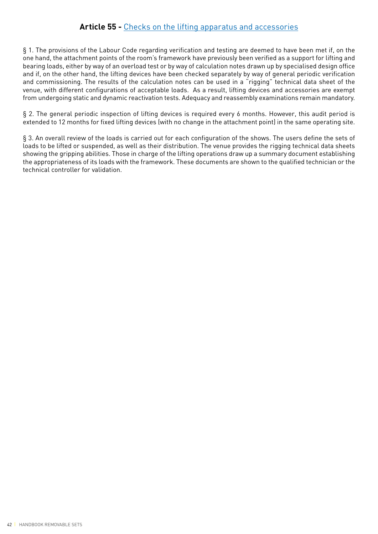# **Article 55 -** Checks on the lifting apparatus and accessories

§ 1. The provisions of the Labour Code regarding verification and testing are deemed to have been met if, on the one hand, the attachment points of the room's framework have previously been verified as a support for lifting and bearing loads, either by way of an overload test or by way of calculation notes drawn up by specialised design office and if, on the other hand, the lifting devices have been checked separately by way of general periodic verification and commissioning. The results of the calculation notes can be used in a "rigging" technical data sheet of the venue, with different configurations of acceptable loads. As a result, lifting devices and accessories are exempt from undergoing static and dynamic reactivation tests. Adequacy and reassembly examinations remain mandatory.

§ 2. The general periodic inspection of lifting devices is required every 6 months. However, this audit period is extended to 12 months for fixed lifting devices (with no change in the attachment point) in the same operating site.

§ 3. An overall review of the loads is carried out for each configuration of the shows. The users define the sets of loads to be lifted or suspended, as well as their distribution. The venue provides the rigging technical data sheets showing the gripping abilities. Those in charge of the lifting operations draw up a summary document establishing the appropriateness of its loads with the framework. These documents are shown to the qualified technician or the technical controller for validation.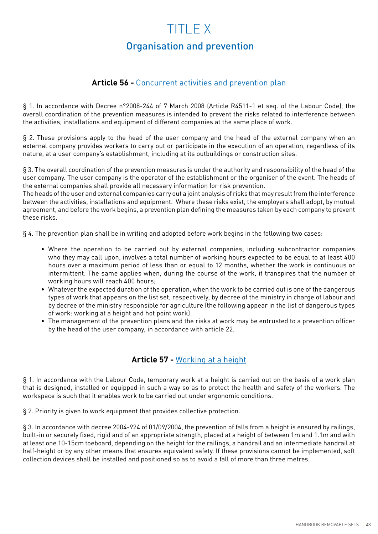# TITLE X Organisation and prevention

# **Article 56 -** Concurrent activities and prevention plan

§ 1. In accordance with Decree n°2008-244 of 7 March 2008 (Article R4511-1 et seq. of the Labour Code), the overall coordination of the prevention measures is intended to prevent the risks related to interference between the activities, installations and equipment of different companies at the same place of work.

§ 2. These provisions apply to the head of the user company and the head of the external company when an external company provides workers to carry out or participate in the execution of an operation, regardless of its nature, at a user company's establishment, including at its outbuildings or construction sites.

§ 3. The overall coordination of the prevention measures is under the authority and responsibility of the head of the user company. The user company is the operator of the establishment or the organiser of the event. The heads of the external companies shall provide all necessary information for risk prevention.

The heads of the user and external companies carry out a joint analysis of risks that may result from the interference between the activities, installations and equipment. Where these risks exist, the employers shall adopt, by mutual agreement, and before the work begins, a prevention plan defining the measures taken by each company to prevent these risks.

§ 4. The prevention plan shall be in writing and adopted before work begins in the following two cases:

- Where the operation to be carried out by external companies, including subcontractor companies who they may call upon, involves a total number of working hours expected to be equal to at least 400 hours over a maximum period of less than or equal to 12 months, whether the work is continuous or intermittent. The same applies when, during the course of the work, it transpires that the number of working hours will reach 400 hours;
- Whatever the expected duration of the operation, when the work to be carried out is one of the dangerous types of work that appears on the list set, respectively, by decree of the ministry in charge of labour and by decree of the ministry responsible for agriculture (the following appear in the list of dangerous types of work: working at a height and hot point work).
- The management of the prevention plans and the risks at work may be entrusted to a prevention officer by the head of the user company, in accordance with article 22.

# **Article 57 -** Working at a height

§ 1. In accordance with the Labour Code, temporary work at a height is carried out on the basis of a work plan that is designed, installed or equipped in such a way so as to protect the health and safety of the workers. The workspace is such that it enables work to be carried out under ergonomic conditions.

§ 2. Priority is given to work equipment that provides collective protection.

§ 3. In accordance with decree 2004-924 of 01/09/2004, the prevention of falls from a height is ensured by railings, built-in or securely fixed, rigid and of an appropriate strength, placed at a height of between 1m and 1.1m and with at least one 10-15cm toeboard, depending on the height for the railings, a handrail and an intermediate handrail at half-height or by any other means that ensures equivalent safety. If these provisions cannot be implemented, soft collection devices shall be installed and positioned so as to avoid a fall of more than three metres.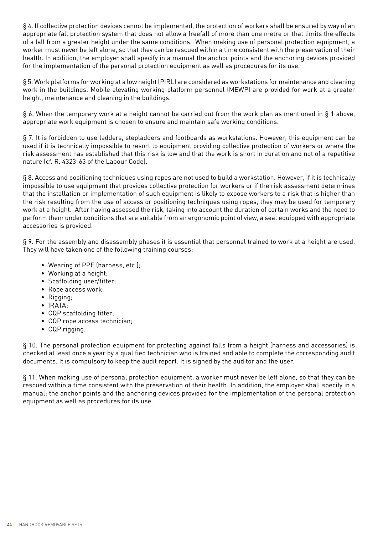§ 4. If collective protection devices cannot be implemented, the protection of workers shall be ensured by way of an appropriate fall protection system that does not allow a freefall of more than one metre or that limits the effects of a fall from a greater height under the same conditions. When making use of personal protection equipment, a worker must never be left alone, so that they can be rescued within a time consistent with the preservation of their health. In addition, the employer shall specify in a manual the anchor points and the anchoring devices provided for the implementation of the personal protection equipment as well as procedures for its use.

§ 5. Work platforms for working at a low height (PIRL) are considered as workstations for maintenance and cleaning work in the buildings. Mobile elevating working platform personnel (MEWP) are provided for work at a greater height, maintenance and cleaning in the buildings.

§ 6. When the temporary work at a height cannot be carried out from the work plan as mentioned in § 1 above, appropriate work equipment is chosen to ensure and maintain safe working conditions.

§ 7. It is forbidden to use ladders, stepladders and footboards as workstations. However, this equipment can be used if it is technically impossible to resort to equipment providing collective protection of workers or where the risk assessment has established that this risk is low and that the work is short in duration and not of a repetitive nature (cf. R. 4323-63 of the Labour Code).

§ 8. Access and positioning techniques using ropes are not used to build a workstation. However, if it is technically impossible to use equipment that provides collective protection for workers or if the risk assessment determines that the installation or implementation of such equipment is likely to expose workers to a risk that is higher than the risk resulting from the use of access or positioning techniques using ropes, they may be used for temporary work at a height. After having assessed the risk, taking into account the duration of certain works and the need to perform them under conditions that are suitable from an ergonomic point of view, a seat equipped with appropriate accessories is provided.

§ 9. For the assembly and disassembly phases it is essential that personnel trained to work at a height are used. They will have taken one of the following training courses:

- Wearing of PPE (harness, etc.);
- Working at a height;
- Scaffolding user/fitter;
- Rope access work;
- Rigging;
- IRATA;
- CQP scaffolding fitter;
- CQP rope access technician;
- CQP rigging.

§ 10. The personal protection equipment for protecting against falls from a height (harness and accessories) is checked at least once a year by a qualified technician who is trained and able to complete the corresponding audit documents. It is compulsory to keep the audit report. It is signed by the auditor and the user.

§ 11. When making use of personal protection equipment, a worker must never be left alone, so that they can be rescued within a time consistent with the preservation of their health. In addition, the employer shall specify in a manual: the anchor points and the anchoring devices provided for the implementation of the personal protection equipment as well as procedures for its use.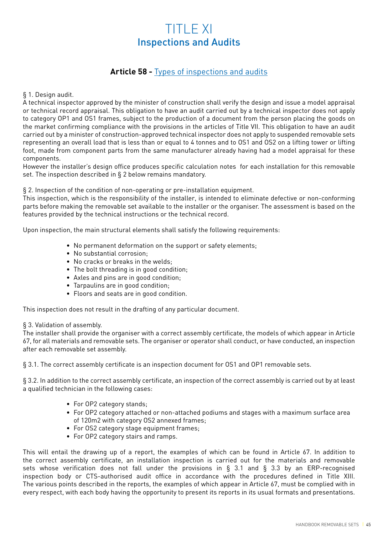# TITLE XI Inspections and Audits

# **Article 58 -** Types of inspections and audits

§ 1. Design audit.

A technical inspector approved by the minister of construction shall verify the design and issue a model appraisal or technical record appraisal. This obligation to have an audit carried out by a technical inspector does not apply to category OP1 and OS1 frames, subject to the production of a document from the person placing the goods on the market confirming compliance with the provisions in the articles of Title VII. This obligation to have an audit carried out by a minister of construction-approved technical inspector does not apply to suspended removable sets representing an overall load that is less than or equal to 4 tonnes and to OS1 and OS2 on a lifting tower or lifting foot, made from component parts from the same manufacturer already having had a model appraisal for these components.

However the installer's design office produces specific calculation notes for each installation for this removable set. The inspection described in § 2 below remains mandatory.

§ 2. Inspection of the condition of non-operating or pre-installation equipment.

This inspection, which is the responsibility of the installer, is intended to eliminate defective or non-conforming parts before making the removable set available to the installer or the organiser. The assessment is based on the features provided by the technical instructions or the technical record.

Upon inspection, the main structural elements shall satisfy the following requirements:

- No permanent deformation on the support or safety elements;
- No substantial corrosion;
- No cracks or breaks in the welds;
- The bolt threading is in good condition;
- Axles and pins are in good condition;
- Tarpaulins are in good condition;
- Floors and seats are in good condition.

This inspection does not result in the drafting of any particular document.

#### § 3. Validation of assembly.

The installer shall provide the organiser with a correct assembly certificate, the models of which appear in Article 67, for all materials and removable sets. The organiser or operator shall conduct, or have conducted, an inspection after each removable set assembly.

§ 3.1. The correct assembly certificate is an inspection document for OS1 and OP1 removable sets.

§ 3.2. In addition to the correct assembly certificate, an inspection of the correct assembly is carried out by at least a qualified technician in the following cases:

- For OP2 category stands;
- For OP2 category attached or non-attached podiums and stages with a maximum surface area of 120m2 with category OS2 annexed frames;
- For OS2 category stage equipment frames;
- For OP2 category stairs and ramps.

This will entail the drawing up of a report, the examples of which can be found in Article 67. In addition to the correct assembly certificate, an installation inspection is carried out for the materials and removable sets whose verification does not fall under the provisions in § 3.1 and § 3.3 by an ERP-recognised inspection body or CTS-authorised audit office in accordance with the procedures defined in Title XIII. The various points described in the reports, the examples of which appear in Article 67, must be complied with in every respect, with each body having the opportunity to present its reports in its usual formats and presentations.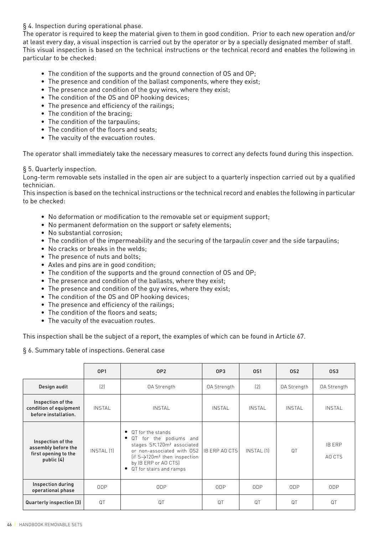### § 4. Inspection during operational phase.

The operator is required to keep the material given to them in good condition. Prior to each new operation and/or at least every day, a visual inspection is carried out by the operator or by a specially designated member of staff. This visual inspection is based on the technical instructions or the technical record and enables the following in particular to be checked:

- The condition of the supports and the ground connection of OS and OP;
- The presence and condition of the ballast components, where they exist;
- The presence and condition of the guy wires, where they exist;
- The condition of the OS and OP hooking devices;
- The presence and efficiency of the railings;
- The condition of the bracing;
- The condition of the tarpaulins;
- The condition of the floors and seats;
- The vacuity of the evacuation routes.

The operator shall immediately take the necessary measures to correct any defects found during this inspection.

#### § 5. Quarterly inspection.

Long-term removable sets installed in the open air are subject to a quarterly inspection carried out by a qualified technician.

This inspection is based on the technical instructions or the technical record and enables the following in particular to be checked:

- No deformation or modification to the removable set or equipment support;
- No permanent deformation on the support or safety elements;
- No substantial corrosion;
- The condition of the impermeability and the securing of the tarpaulin cover and the side tarpaulins;
- No cracks or breaks in the welds;
- The presence of nuts and bolts;
- Axles and pins are in good condition;
- The condition of the supports and the ground connection of OS and OP;
- The presence and condition of the ballasts, where they exist;
- The presence and condition of the guy wires, where they exist;
- The condition of the OS and OP hooking devices;
- The presence and efficiency of the railings;
- The condition of the floors and seats;
- The vacuity of the evacuation routes.

This inspection shall be the subject of a report, the examples of which can be found in Article 67.

§ 6. Summary table of inspections. General case

|                                                                                | 0P1        | OP <sub>2</sub>                                                                                                                                                                                                                       | 0P3             | 0S1               | 0S <sub>2</sub> | 0S3                     |
|--------------------------------------------------------------------------------|------------|---------------------------------------------------------------------------------------------------------------------------------------------------------------------------------------------------------------------------------------|-----------------|-------------------|-----------------|-------------------------|
| Design audit                                                                   | (2)        | <b>OA Strength</b>                                                                                                                                                                                                                    | OA Strength     | (2)               | OA Strength     | OA Strength             |
| Inspection of the<br>condition of equipment<br>before installation.            | INSTAL     | <b>INSTAL</b>                                                                                                                                                                                                                         | <b>INSTAL</b>   | <b>INSTAL</b>     | INSTAL          | <b>INSTAL</b>           |
| Inspection of the<br>assembly before the<br>first opening to the<br>public (4) | INSTAL [1] | QT for the stands<br>٠<br>for the podiums and<br>QT<br>٠<br>stages S下120m <sup>2</sup> associated<br>or non-associated with OS2<br>(if $S \rightarrow 120m^2$ then inspection<br>by IB ERP or AO CTS)<br>QT for stairs and ramps<br>٠ | IB FRP AO CTS   | <b>INSTAL [1]</b> | QT              | <b>IB ERP</b><br>AO CTS |
| Inspection during<br>operational phase                                         | ODP        | <b>ODP</b>                                                                                                                                                                                                                            | 0 <sub>DP</sub> | 0 <sub>DP</sub>   | 0DP             | 0 <sub>DP</sub>         |
| Quarterly inspection (3)                                                       | QT         | QT                                                                                                                                                                                                                                    | QT              | QT                | QT              | QT                      |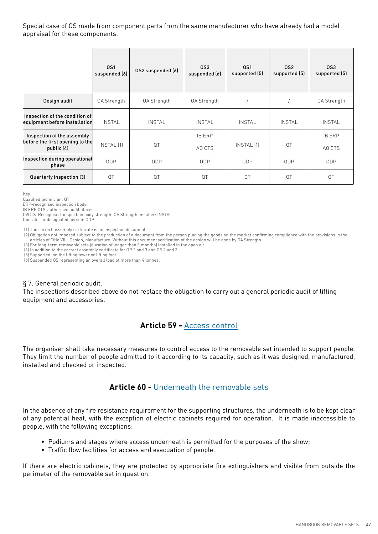Special case of OS made from component parts from the same manufacturer who have already had a model appraisal for these components.

|                                                                 | 0S1<br>suspended (6) | OS2 suspended (6) | 0S3<br>suspended (6) | 0S1<br>supported (5) | 0S <sub>2</sub><br>supported (5) | 0S3<br>supported (5) |
|-----------------------------------------------------------------|----------------------|-------------------|----------------------|----------------------|----------------------------------|----------------------|
| Design audit                                                    | OA Strength          | OA Strength       | <b>OA Strength</b>   |                      |                                  | OA Strength          |
| Inspection of the condition of<br>equipment before installation | <b>INSTAL</b>        | <b>INSTAL</b>     | <b>INSTAL</b>        | <b>INSTAL</b>        | <b>INSTAL</b>                    | <b>INSTAL</b>        |
| Inspection of the assembly<br>before the first opening to the   |                      |                   | <b>IB ERP</b>        |                      |                                  | <b>IB ERP</b>        |
| public (4)                                                      | <b>INSTAL [1]</b>    | QT                | AO CTS               | INSTAL (1)           | QT                               | AO CTS               |
| Inspection during operational<br>phase                          | ODP                  | <b>ODP</b>        | 0 <sub>DP</sub>      | 0 <sub>DP</sub>      | 0 <sub>DP</sub>                  | 0 <sub>DP</sub>      |
| Quarterly inspection (3)                                        | QT                   | QT                | QT                   | QT                   | QT                               | QT                   |

Key:

Qualified technician: QT

ERP-recognised inspection body:

IB ERP CTS-authorised audit office:

OVCTS Recognised inspection body strength: OA Strength Installer: INSTAL Operator or designated person: ODP

(1) The correct assembly certificate is an inspection document

(2) Obligation not imposed subject to the production of a document from the person placing the goods on the market confirming compliance with the provisions in the articles of Title VII - Design, Manufacture. Without this document verification of the design will be done by OA Strength.

(3) For long-term removable sets (duration of longer than 3 months) installed in the open air.

(4) In addition to the correct assembly certificate for OP 2 and 3 and OS 2 and 3.

(5) Supported on the lifting tower or lifting foot.

(6) Suspended OS representing an overall load of more than 4 tonnes.

#### § 7. General periodic audit.

The inspections described above do not replace the obligation to carry out a general periodic audit of lifting equipment and accessories.

# **Article 59 -** Access control

The organiser shall take necessary measures to control access to the removable set intended to support people. They limit the number of people admitted to it according to its capacity, such as it was designed, manufactured, installed and checked or inspected.

# **Article 60 -** Underneath the removable sets

In the absence of any fire resistance requirement for the supporting structures, the underneath is to be kept clear of any potential heat, with the exception of electric cabinets required for operation. It is made inaccessible to people, with the following exceptions:

- Podiums and stages where access underneath is permitted for the purposes of the show;
- Traffic flow facilities for access and evacuation of people.

If there are electric cabinets, they are protected by appropriate fire extinguishers and visible from outside the perimeter of the removable set in question.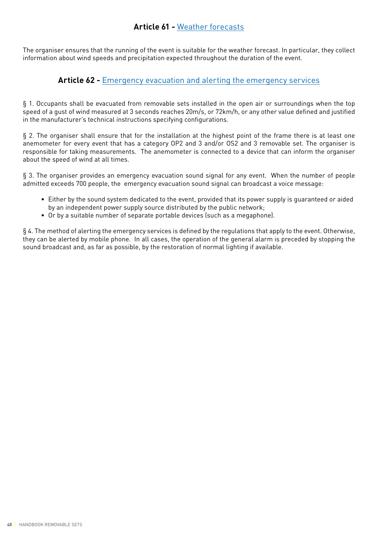# **Article 61 -** Weather forecasts

The organiser ensures that the running of the event is suitable for the weather forecast. In particular, they collect information about wind speeds and precipitation expected throughout the duration of the event.

# **Article 62 -** Emergency evacuation and alerting the emergency services

§ 1. Occupants shall be evacuated from removable sets installed in the open air or surroundings when the top speed of a gust of wind measured at 3 seconds reaches 20m/s, or 72km/h, or any other value defined and justified in the manufacturer's technical instructions specifying configurations.

§ 2. The organiser shall ensure that for the installation at the highest point of the frame there is at least one anemometer for every event that has a category OP2 and 3 and/or OS2 and 3 removable set. The organiser is responsible for taking measurements. The anemometer is connected to a device that can inform the organiser about the speed of wind at all times.

§ 3. The organiser provides an emergency evacuation sound signal for any event. When the number of people admitted exceeds 700 people, the emergency evacuation sound signal can broadcast a voice message:

- Either by the sound system dedicated to the event, provided that its power supply is guaranteed or aided by an independent power supply source distributed by the public network;
- Or by a suitable number of separate portable devices (such as a megaphone).

§ 4. The method of alerting the emergency services is defined by the regulations that apply to the event. Otherwise, they can be alerted by mobile phone. In all cases, the operation of the general alarm is preceded by stopping the sound broadcast and, as far as possible, by the restoration of normal lighting if available.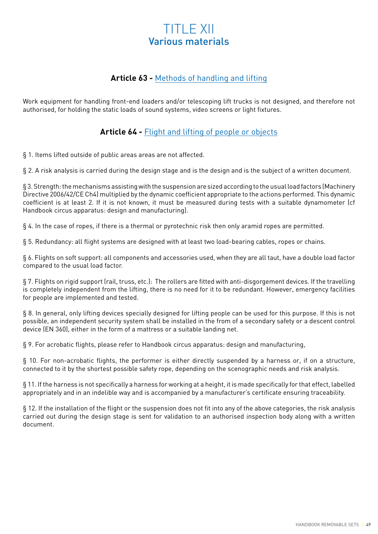# TITLE XII Various materials

# **Article 63 -** Methods of handling and lifting

Work equipment for handling front-end loaders and/or telescoping lift trucks is not designed, and therefore not authorised, for holding the static loads of sound systems, video screens or light fixtures.

# **Article 64 -** Flight and lifting of people or objects

§ 1. Items lifted outside of public areas areas are not affected.

§ 2. A risk analysis is carried during the design stage and is the design and is the subject of a written document.

§ 3. Strength: the mechanisms assisting with the suspension are sized according to the usual load factors (Machinery Directive 2006/42/CE Ch4) multiplied by the dynamic coefficient appropriate to the actions performed. This dynamic coefficient is at least 2. If it is not known, it must be measured during tests with a suitable dynamometer (cf Handbook circus apparatus: design and manufacturing).

§ 4. In the case of ropes, if there is a thermal or pyrotechnic risk then only aramid ropes are permitted.

§ 5. Redundancy: all flight systems are designed with at least two load-bearing cables, ropes or chains.

§ 6. Flights on soft support: all components and accessories used, when they are all taut, have a double load factor compared to the usual load factor.

§ 7. Flights on rigid support (rail, truss, etc.): The rollers are fitted with anti-disgorgement devices. If the travelling is completely independent from the lifting, there is no need for it to be redundant. However, emergency facilities for people are implemented and tested.

§ 8. In general, only lifting devices specially designed for lifting people can be used for this purpose. If this is not possible, an independent security system shall be installed in the from of a secondary safety or a descent control device (EN 360), either in the form of a mattress or a suitable landing net.

§ 9. For acrobatic flights, please refer to Handbook circus apparatus: design and manufacturing,

§ 10. For non-acrobatic flights, the performer is either directly suspended by a harness or, if on a structure, connected to it by the shortest possible safety rope, depending on the scenographic needs and risk analysis.

§ 11. If the harness is not specifically a harness for working at a height, it is made specifically for that effect, labelled appropriately and in an indelible way and is accompanied by a manufacturer's certificate ensuring traceability.

§ 12. If the installation of the flight or the suspension does not fit into any of the above categories, the risk analysis carried out during the design stage is sent for validation to an authorised inspection body along with a written document.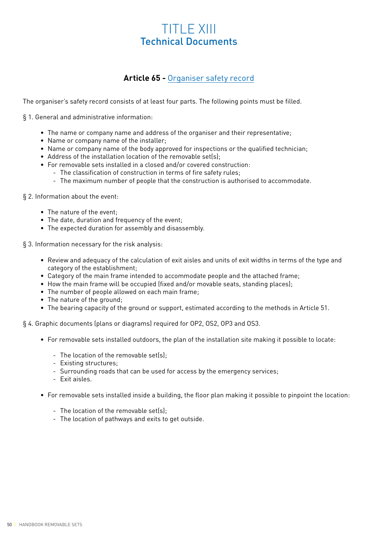# TITLE XIII Technical Documents

# **Article 65 -** Organiser safety record

The organiser's safety record consists of at least four parts. The following points must be filled.

§ 1. General and administrative information:

- The name or company name and address of the organiser and their representative;
- Name or company name of the installer;
- Name or company name of the body approved for inspections or the qualified technician;
- Address of the installation location of the removable set(s);
- For removable sets installed in a closed and/or covered construction:
- The classification of construction in terms of fire safety rules;
	- The maximum number of people that the construction is authorised to accommodate.

#### § 2. Information about the event:

- The nature of the event;
- The date, duration and frequency of the event;
- The expected duration for assembly and disassembly.

§ 3. Information necessary for the risk analysis:

- Review and adequacy of the calculation of exit aisles and units of exit widths in terms of the type and category of the establishment;
- Category of the main frame intended to accommodate people and the attached frame;
- How the main frame will be occupied (fixed and/or movable seats, standing places);
- The number of people allowed on each main frame;
- The nature of the ground;
- The bearing capacity of the ground or support, estimated according to the methods in Article 51.

§ 4. Graphic documents (plans or diagrams) required for OP2, OS2, OP3 and OS3.

- For removable sets installed outdoors, the plan of the installation site making it possible to locate:
	- The location of the removable set(s);
	- Existing structures;
	- Surrounding roads that can be used for access by the emergency services;
	- Exit aisles.
- For removable sets installed inside a building, the floor plan making it possible to pinpoint the location:
	- The location of the removable set(s);
	- The location of pathways and exits to get outside.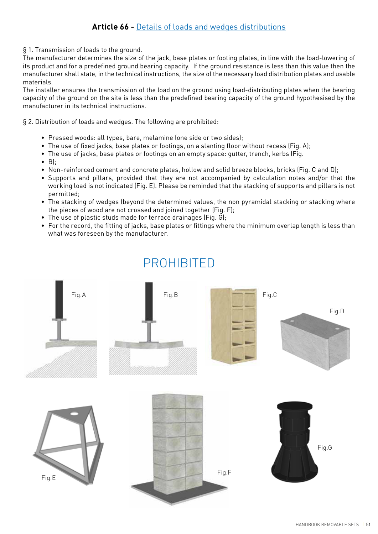### § 1. Transmission of loads to the ground.

The manufacturer determines the size of the jack, base plates or footing plates, in line with the load-lowering of its product and for a predefined ground bearing capacity. If the ground resistance is less than this value then the manufacturer shall state, in the technical instructions, the size of the necessary load distribution plates and usable materials.

The installer ensures the transmission of the load on the ground using load-distributing plates when the bearing capacity of the ground on the site is less than the predefined bearing capacity of the ground hypothesised by the manufacturer in its technical instructions.

§ 2. Distribution of loads and wedges. The following are prohibited:

- Pressed woods: all types, bare, melamine (one side or two sides);
- The use of fixed jacks, base plates or footings, on a slanting floor without recess (Fig. A);
- The use of jacks, base plates or footings on an empty space: gutter, trench, kerbs (Fig.
- $\bullet$  Bl:
- Non-reinforced cement and concrete plates, hollow and solid breeze blocks, bricks (Fig. C and D);
- Supports and pillars, provided that they are not accompanied by calculation notes and/or that the working load is not indicated (Fig. E). Please be reminded that the stacking of supports and pillars is not permitted;
- The stacking of wedges (beyond the determined values, the non pyramidal stacking or stacking where the pieces of wood are not crossed and joined together (Fig. F);
- The use of plastic studs made for terrace drainages (Fig. G);
- For the record, the fitting of jacks, base plates or fittings where the minimum overlap length is less than what was foreseen by the manufacturer.



#### HANDBOOK REMOVABLE SETS | 51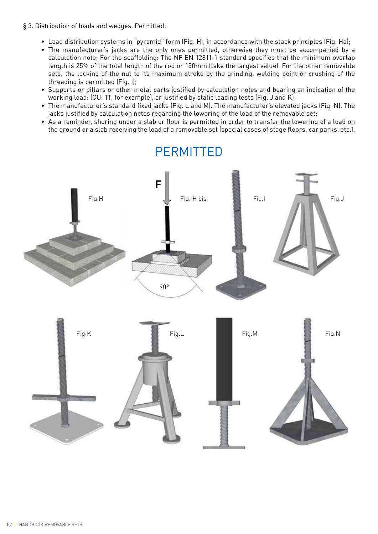- § 3. Distribution of loads and wedges. Permitted:
	- Load distribution systems in "pyramid" form (Fig. H), in accordance with the stack principles (Fig. Ha);
	- The manufacturer's jacks are the only ones permitted, otherwise they must be accompanied by a calculation note; For the scaffolding: The NF EN 12811-1 standard specifies that the minimum overlap length is 25% of the total length of the rod or 150mm (take the largest value). For the other removable sets, the locking of the nut to its maximum stroke by the grinding, welding point or crushing of the threading is permitted (Fig. I);
	- Supports or pillars or other metal parts justified by calculation notes and bearing an indication of the working load: (CU: 1T, for example), or justified by static loading tests (Fig. J and K);
	- The manufacturer's standard fixed jacks (Fig. L and M). The manufacturer's elevated jacks (Fig. N). The jacks justified by calculation notes regarding the lowering of the load of the removable set;
	- As a reminder, shoring under a slab or floor is permitted in order to transfer the lowering of a load on the ground or a slab receiving the load of a removable set (special cases of stage floors, car parks, etc.).



PERMITTED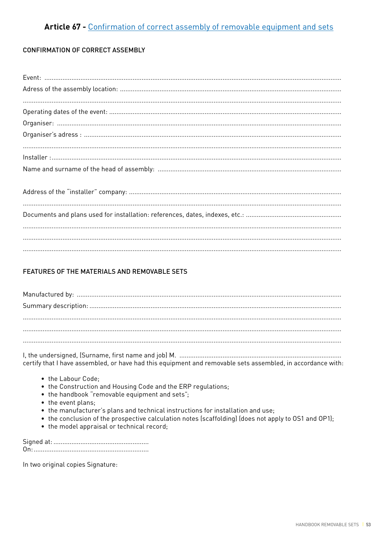# Article 67 - Confirmation of correct assembly of removable equipment and sets

### **CONFIRMATION OF CORRECT ASSEMBLY**

### FEATURES OF THE MATERIALS AND REMOVABLE SETS

certify that I have assembled, or have had this equipment and removable sets assembled, in accordance with:

- the Labour Code:
- the Construction and Housing Code and the ERP regulations;
- the handbook "removable equipment and sets";
- the event plans;
- the manufacturer's plans and technical instructions for installation and use;
- the conclusion of the prospective calculation notes (scaffolding) (does not apply to OS1 and OP1);
- the model appraisal or technical record;

In two original copies Signature: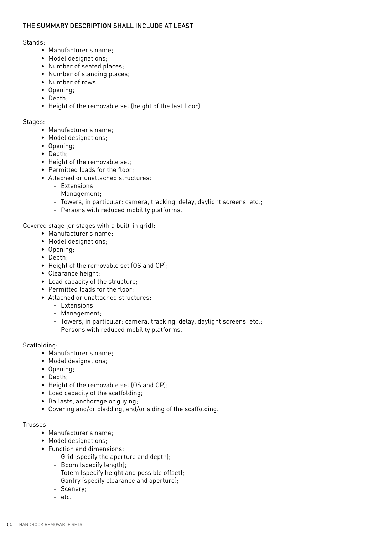### THE SUMMARY DESCRIPTION SHALL INCLUDE AT LEAST

#### Stands:

- Manufacturer's name;
- Model designations;
- Number of seated places;
- Number of standing places;
- Number of rows;
- Opening;
- Depth;
- Height of the removable set (height of the last floor).

#### Stages:

- Manufacturer's name;
- Model designations;
- Opening;
- Depth;
- Height of the removable set;
- Permitted loads for the floor;
- Attached or unattached structures:
	- Extensions;
	- Management;
	- Towers, in particular: camera, tracking, delay, daylight screens, etc.;
	- Persons with reduced mobility platforms.

Covered stage (or stages with a built-in grid):

- Manufacturer's name;
- Model designations;
- Opening;
- Depth;
- Height of the removable set (OS and OP);
- Clearance height;
- Load capacity of the structure;
- Permitted loads for the floor;
- Attached or unattached structures:
	- Extensions;
	- Management;
	- Towers, in particular: camera, tracking, delay, daylight screens, etc.;
	- Persons with reduced mobility platforms.

#### Scaffolding:

- Manufacturer's name;
- Model designations;
- Opening;
- Depth;
- Height of the removable set (OS and OP);
- Load capacity of the scaffolding;
- Ballasts, anchorage or guying;
- Covering and/or cladding, and/or siding of the scaffolding.

#### Trusses;

- Manufacturer's name;
- Model designations;
- Function and dimensions:
	- Grid (specify the aperture and depth);
	- Boom (specify length);
	- Totem (specify height and possible offset);
	- Gantry (specify clearance and aperture);
	- Scenery;
	- etc.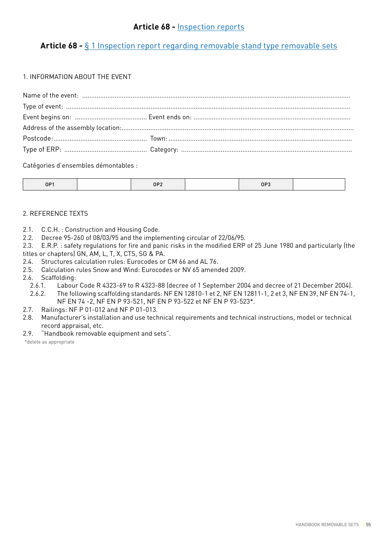# **Article 68 -** § 1 Inspection report regarding removable stand type removable sets

### 1. INFORMATION ABOUT THE EVENT

Catégories d'ensembles démontables :

| $\sim$ $\sim$<br>____ | $ -$ |  | $\sim$ $\sim$<br>$\mathbf{I}$ |  |
|-----------------------|------|--|-------------------------------|--|
|-----------------------|------|--|-------------------------------|--|

### 2. REFERENCE TEXTS

- 2.1. C.C.H. : Construction and Housing Code.
- 2.2. Decree 95-260 of 08/03/95 and the implementing circular of 22/06/95.
- 2.3. E.R.P. : safety regulations for fire and panic risks in the modified ERP of 25 June 1980 and particularly (the titles or chapters) GN, AM, L, T, X, CTS, SG & PA.
- 2.4. Structures calculation rules: Eurocodes or CM 66 and AL 76.
- 2.5. Calculation rules Snow and Wind: Eurocodes or NV 65 amended 2009.
- 2.6. Scaffolding:
	- 2.6.1. Labour Code R 4323-69 to R 4323-88 (decree of 1 September 2004 and decree of 21 December 2004).
	- 2.6.2. The following scaffolding standards: NF EN 12810-1 et 2, NF EN 12811-1, 2 et 3, NF EN 39, NF EN 74-1, NF EN 74 -2, NF EN P 93-521, NF EN P 93-522 et NF EN P 93-523\*.
- 2.7. Railings: NF P 01-012 and NF P 01-013.
- 2.8. Manufacturer's installation and use technical requirements and technical instructions, model or technical record appraisal, etc.
- 2.9. "Handbook removable equipment and sets".

\*delete as appropriate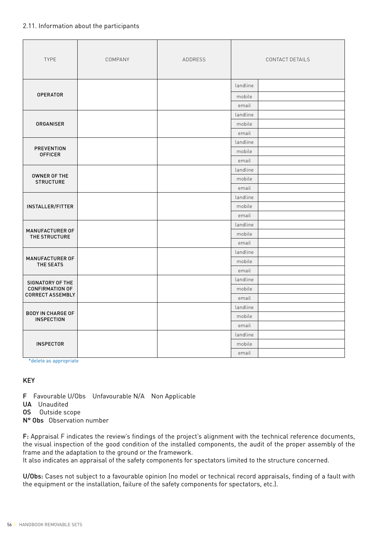### 2.11. Information about the participants

| <b>TYPE</b>                                   | COMPANY | ADDRESS | CONTACT DETAILS |  |
|-----------------------------------------------|---------|---------|-----------------|--|
|                                               |         |         | landline        |  |
| <b>OPERATOR</b>                               |         |         | mobile          |  |
|                                               |         |         | email           |  |
|                                               |         |         | landline        |  |
| <b>ORGANISER</b>                              |         |         | mobile          |  |
|                                               |         |         | email           |  |
|                                               |         |         | landline        |  |
| <b>PREVENTION</b><br><b>OFFICER</b>           |         |         | mobile          |  |
|                                               |         |         | email           |  |
|                                               |         |         | landline        |  |
| OWNER OF THE<br><b>STRUCTURE</b>              |         |         | mobile          |  |
|                                               |         |         | email           |  |
|                                               |         |         | landline        |  |
| <b>INSTALLER/FITTER</b>                       |         |         | mobile          |  |
|                                               |         |         | email           |  |
|                                               |         |         | landline        |  |
| <b>MANUFACTURER OF</b><br>THE STRUCTURE       |         |         | mobile          |  |
|                                               |         |         | email           |  |
|                                               |         |         | landline        |  |
| MANUFACTURER OF<br>THE SEATS                  |         |         | mobile          |  |
|                                               |         |         | email           |  |
| SIGNATORY OF THE                              |         |         | landline        |  |
| <b>CONFIRMATION OF</b>                        |         |         | mobile          |  |
| <b>CORRECT ASSEMBLY</b>                       |         |         | email           |  |
|                                               |         |         | landline        |  |
| <b>BODY IN CHARGE OF</b><br><b>INSPECTION</b> |         |         | mobile          |  |
|                                               |         |         | email           |  |
|                                               |         |         | landline        |  |
| <b>INSPECTOR</b>                              |         |         | mobile          |  |
|                                               |         |         | email           |  |

\*delete as appropriate

### KEY

F Favourable U/Obs Unfavourable N/A Non Applicable

- UA Unaudited
- OS Outside scope
- N° Obs Observation number

F: Appraisal F indicates the review's findings of the project's alignment with the technical reference documents, the visual inspection of the good condition of the installed components, the audit of the proper assembly of the frame and the adaptation to the ground or the framework.

It also indicates an appraisal of the safety components for spectators limited to the structure concerned.

U/Obs: Cases not subject to a favourable opinion (no model or technical record appraisals, finding of a fault with the equipment or the installation, failure of the safety components for spectators, etc.).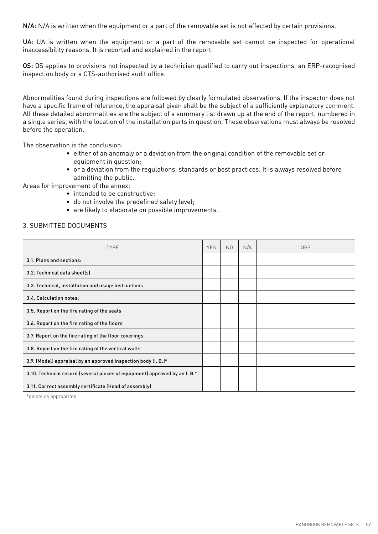N/A: N/A is written when the equipment or a part of the removable set is not affected by certain provisions.

UA: UA is written when the equipment or a part of the removable set cannot be inspected for operational inaccessibility reasons. It is reported and explained in the report.

OS: OS applies to provisions not inspected by a technician qualified to carry out inspections, an ERP-recognised inspection body or a CTS-authorised audit office.

Abnormalities found during inspections are followed by clearly formulated observations. If the inspector does not have a specific frame of reference, the appraisal given shall be the subject of a sufficiently explanatory comment. All these detailed abnormalities are the subject of a summary list drawn up at the end of the report, numbered in a single series, with the location of the installation parts in question. These observations must always be resolved before the operation.

The observation is the conclusion:

- either of an anomaly or a deviation from the original condition of the removable set or equipment in question;
- or a deviation from the regulations, standards or best practices. It is always resolved before admitting the public.

Areas for improvement of the annex:

- intended to be constructive;
- do not involve the predefined safety level;
- are likely to elaborate on possible improvements.

#### 3. SUBMITTED DOCUMENTS

| <b>TYPE</b>                                                                | <b>YES</b> | N <sub>O</sub> | N/A | <b>OBS</b> |
|----------------------------------------------------------------------------|------------|----------------|-----|------------|
| 3.1. Plans and sections:                                                   |            |                |     |            |
| 3.2. Technical data sheet(s)                                               |            |                |     |            |
| 3.3. Technical, installation and usage instructions                        |            |                |     |            |
| 3.4. Calculation notes:                                                    |            |                |     |            |
| 3.5. Report on the fire rating of the seats                                |            |                |     |            |
| 3.6. Report on the fire rating of the floors                               |            |                |     |            |
| 3.7. Report on the fire rating of the floor coverings                      |            |                |     |            |
| 3.8. Report on the fire rating of the vertical walls                       |            |                |     |            |
| 3.9. (Model) appraisal by an approved inspection body (I. B.)*             |            |                |     |            |
| 3.10. Technical record (several pieces of equipment) approved by an I. B.* |            |                |     |            |
| 3.11. Correct assembly certificate (Head of assembly)                      |            |                |     |            |

\*delete as appropriate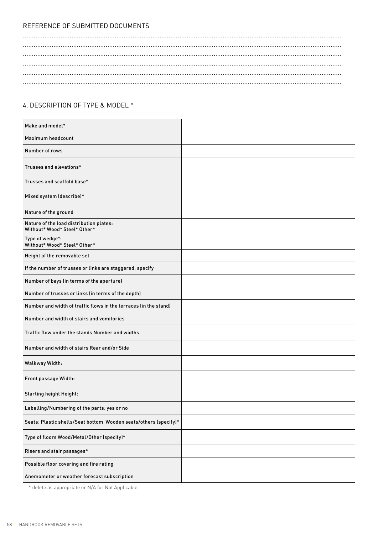# REFERENCE OF SUBMITTED DOCUMENTS

### 4. DESCRIPTION OF TYPE & MODEL \*

| Make and model*                                                         |  |
|-------------------------------------------------------------------------|--|
| Maximum headcount                                                       |  |
| Number of rows                                                          |  |
| Trusses and elevations*                                                 |  |
| Trusses and scaffold base*                                              |  |
| Mixed system (describe)*                                                |  |
| Nature of the ground                                                    |  |
| Nature of the load distribution plates:<br>Without* Wood* Steel* Other* |  |
| Type of wedge*:<br>Without* Wood* Steel* Other*                         |  |
| Height of the removable set                                             |  |
| If the number of trusses or links are staggered, specify                |  |
| Number of bays (in terms of the aperture)                               |  |
| Number of trusses or links (in terms of the depth)                      |  |
| Number and width of traffic flows in the terraces (in the stand)        |  |
| Number and width of stairs and vomitories                               |  |
| Traffic flow under the stands Number and widths                         |  |
| Number and width of stairs Rear and/or Side                             |  |
| Walkway Width:                                                          |  |
| Front passage Width:                                                    |  |
| <b>Starting height Height:</b>                                          |  |
| Labelling/Numbering of the parts: yes or no                             |  |
| Seats: Plastic shells/Seat bottom Wooden seats/others (specify)*        |  |
| Type of floors Wood/Metal/Other (specify)*                              |  |
| Risers and stair passages*                                              |  |
| Possible floor covering and fire rating                                 |  |
| Anemometer or weather forecast subscription                             |  |

\* delete as appropriate or N/A for Not Applicable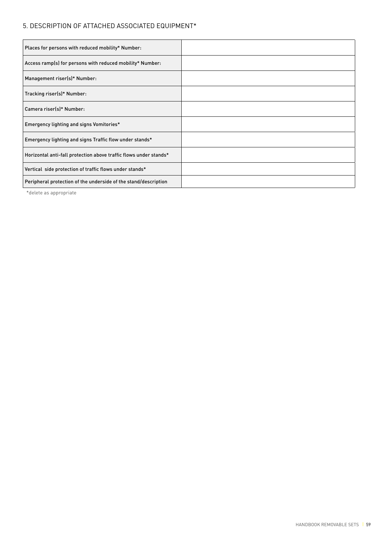## 5. DESCRIPTION OF ATTACHED ASSOCIATED EQUIPMENT\*

| Places for persons with reduced mobility* Number:                 |  |
|-------------------------------------------------------------------|--|
| Access ramp(s) for persons with reduced mobility* Number:         |  |
| Management riser(s)* Number:                                      |  |
| Tracking riser(s)* Number:                                        |  |
| Camera riser(s)* Number:                                          |  |
| Emergency lighting and signs Vomitories*                          |  |
| Emergency lighting and signs Traffic flow under stands*           |  |
| Horizontal anti-fall protection above traffic flows under stands* |  |
| Vertical side protection of traffic flows under stands*           |  |
| Peripheral protection of the underside of the stand/description   |  |

\*delete as appropriate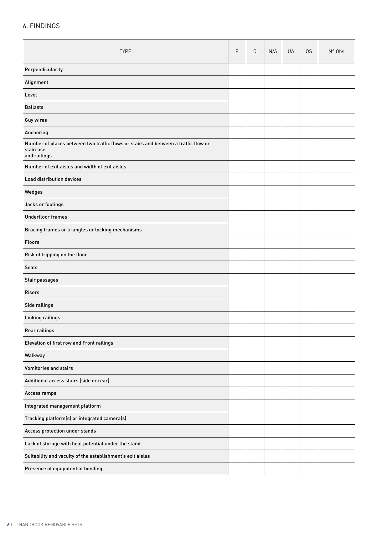## 6. FINDINGS

| <b>TYPE</b>                                                                                                     |  | D | N/A | UA | 0S | $N^{\circ}$ Obs |
|-----------------------------------------------------------------------------------------------------------------|--|---|-----|----|----|-----------------|
| Perpendicularity                                                                                                |  |   |     |    |    |                 |
| Alignment                                                                                                       |  |   |     |    |    |                 |
| Level                                                                                                           |  |   |     |    |    |                 |
| <b>Ballasts</b>                                                                                                 |  |   |     |    |    |                 |
| Guy wires                                                                                                       |  |   |     |    |    |                 |
| Anchoring                                                                                                       |  |   |     |    |    |                 |
| Number of places between two traffic flows or stairs and between a traffic flow or<br>staircase<br>and railings |  |   |     |    |    |                 |
| Number of exit aisles and width of exit aisles                                                                  |  |   |     |    |    |                 |
| Load distribution devices                                                                                       |  |   |     |    |    |                 |
| Wedges                                                                                                          |  |   |     |    |    |                 |
| Jacks or footings                                                                                               |  |   |     |    |    |                 |
| <b>Underfloor frames</b>                                                                                        |  |   |     |    |    |                 |
| Bracing frames or triangles or locking mechanisms                                                               |  |   |     |    |    |                 |
| <b>Floors</b>                                                                                                   |  |   |     |    |    |                 |
| Risk of tripping on the floor                                                                                   |  |   |     |    |    |                 |
| <b>Seats</b>                                                                                                    |  |   |     |    |    |                 |
| Stair passages                                                                                                  |  |   |     |    |    |                 |
| <b>Risers</b>                                                                                                   |  |   |     |    |    |                 |
| Side railings                                                                                                   |  |   |     |    |    |                 |
| Linking railings                                                                                                |  |   |     |    |    |                 |
| Rear railings                                                                                                   |  |   |     |    |    |                 |
| Elevation of first row and Front railings                                                                       |  |   |     |    |    |                 |
| Walkway                                                                                                         |  |   |     |    |    |                 |
| <b>Vomitories and stairs</b>                                                                                    |  |   |     |    |    |                 |
| Additional access stairs (side or rear)                                                                         |  |   |     |    |    |                 |
| Access ramps                                                                                                    |  |   |     |    |    |                 |
| Integrated management platform                                                                                  |  |   |     |    |    |                 |
| Tracking platform(s) or integrated camera(s)                                                                    |  |   |     |    |    |                 |
| Access protection under stands                                                                                  |  |   |     |    |    |                 |
| Lack of storage with heat potential under the stand                                                             |  |   |     |    |    |                 |
| Suitability and vacuity of the establishment's exit aisles                                                      |  |   |     |    |    |                 |
| Presence of equipotential bonding                                                                               |  |   |     |    |    |                 |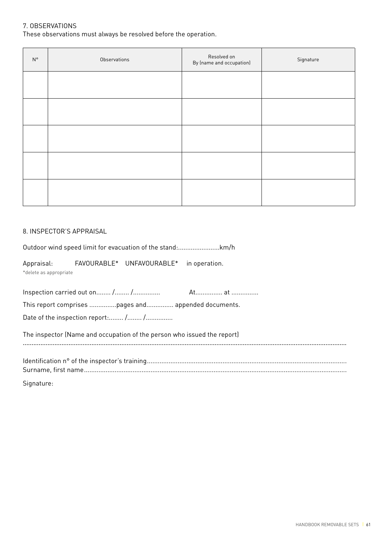### 7. OBSERVATIONS

These observations must always be resolved before the operation.

| $\mathsf{N}^\circ$ | Observations | Resolved on<br>By (name and occupation) | Signature |
|--------------------|--------------|-----------------------------------------|-----------|
|                    |              |                                         |           |
|                    |              |                                         |           |
|                    |              |                                         |           |
|                    |              |                                         |           |
|                    |              |                                         |           |

#### 8. INSPECTOR'S APPRAISAL

Outdoor wind speed limit for evacuation of the stand:.......................km/h

Appraisal: FAVOURABLE\* UNFAVOURABLE\* in operation. \*delete as appropriate

Inspection carried out on........ /........ /............... At............... at ............... This report comprises ...............pages and............... appended documents. Date of the inspection report:........ /........ /................ The inspector (Name and occupation of the person who issued the report) ........................................................................................................................................................................................ Identification n° of the inspector's training............................................................................................................... Surname, first name..................................................................................................................................................

Signature: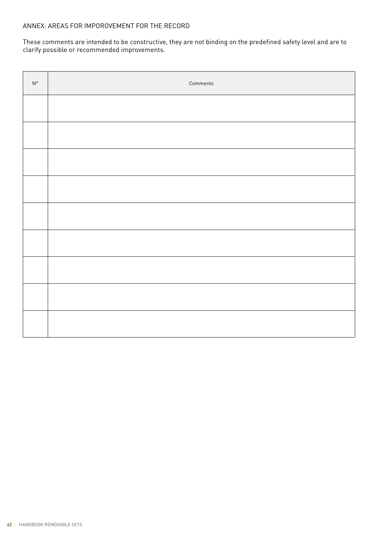These comments are intended to be constructive, they are not binding on the predefined safety level and are to clarify possible or recommended improvements.

| $\mathsf{N}^\circ$ | Comments |
|--------------------|----------|
|                    |          |
|                    |          |
|                    |          |
|                    |          |
|                    |          |
|                    |          |
|                    |          |
|                    |          |
|                    |          |
|                    |          |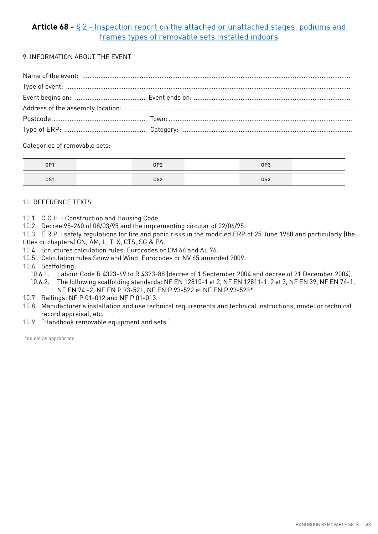# **Article 68 -** § 2 - Inspection report on the attached or unattached stages, podiums and frames types of removable sets installed indoors

9. INFORMATION ABOUT THE EVENT

Categories of removable sets:

| OP1        | OP <sub>2</sub> | OP3 |  |
|------------|-----------------|-----|--|
| <b>0S1</b> | 0S2             | 0S3 |  |

### 10. REFERENCE TEXTS

- 10.1. C.C.H. : Construction and Housing Code.
- 10.2. Decree 95-260 of 08/03/95 and the implementing circular of 22/06/95.

10.3. E.R.P. : safety regulations for fire and panic risks in the modified ERP of 25 June 1980 and particularly (the titles or chapters) GN, AM, L, T, X, CTS, SG & PA.

- 10.4. Structures calculation rules: Eurocodes or CM 66 and AL 76.
- 10.5. Calculation rules Snow and Wind: Eurocodes or NV 65 amended 2009.
- 10.6. Scaffolding:
	- 10.6.1. Labour Code R 4323-69 to R 4323-88 (decree of 1 September 2004 and decree of 21 December 2004).
	- 10.6.2. The following scaffolding standards: NF EN 12810-1 et 2, NF EN 12811-1, 2 et 3, NF EN 39, NF EN 74-1, NF EN 74 -2, NF EN P 93-521, NF EN P 93-522 et NF EN P 93-523\*.
- 10.7. Railings: NF P 01-012 and NF P 01-013.
- 10.8. Manufacturer's installation and use technical requirements and technical instructions, model or technical record appraisal, etc.
- 10.9. "Handbook removable equipment and sets".

\*delete as appropriate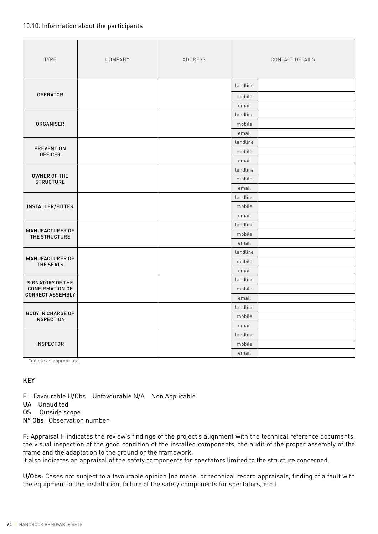#### 10.10. Information about the participants

| <b>TYPE</b>                                   | COMPANY | ADDRESS |          | CONTACT DETAILS |
|-----------------------------------------------|---------|---------|----------|-----------------|
|                                               |         |         | landline |                 |
| <b>OPERATOR</b>                               |         |         | mobile   |                 |
|                                               |         |         | email    |                 |
|                                               |         |         | landline |                 |
| <b>ORGANISER</b>                              |         |         | mobile   |                 |
|                                               |         |         | email    |                 |
|                                               |         |         | landline |                 |
| <b>PREVENTION</b><br><b>OFFICER</b>           |         |         | mobile   |                 |
|                                               |         |         | email    |                 |
|                                               |         |         | landline |                 |
| OWNER OF THE<br><b>STRUCTURE</b>              |         |         | mobile   |                 |
|                                               |         |         | email    |                 |
|                                               |         |         | landline |                 |
| INSTALLER/FITTER                              |         |         | mobile   |                 |
|                                               |         |         | email    |                 |
|                                               |         |         | landline |                 |
| <b>MANUFACTURER OF</b><br>THE STRUCTURE       |         |         | mobile   |                 |
|                                               |         |         | email    |                 |
|                                               |         |         | landline |                 |
| MANUFACTURER OF<br>THE SEATS                  |         |         | mobile   |                 |
|                                               |         |         | email    |                 |
| SIGNATORY OF THE                              |         |         | landline |                 |
| <b>CONFIRMATION OF</b>                        |         |         | mobile   |                 |
| <b>CORRECT ASSEMBLY</b>                       |         |         | email    |                 |
|                                               |         |         | landline |                 |
| <b>BODY IN CHARGE OF</b><br><b>INSPECTION</b> |         |         | mobile   |                 |
|                                               |         |         | email    |                 |
|                                               |         |         | landline |                 |
| <b>INSPECTOR</b>                              |         |         | mobile   |                 |
|                                               |         |         | email    |                 |

\*delete as appropriate

### KEY

F Favourable U/Obs Unfavourable N/A Non Applicable

- UA Unaudited
- OS Outside scope
- N° Obs Observation number

F: Appraisal F indicates the review's findings of the project's alignment with the technical reference documents, the visual inspection of the good condition of the installed components, the audit of the proper assembly of the frame and the adaptation to the ground or the framework.

It also indicates an appraisal of the safety components for spectators limited to the structure concerned.

U/Obs: Cases not subject to a favourable opinion (no model or technical record appraisals, finding of a fault with the equipment or the installation, failure of the safety components for spectators, etc.).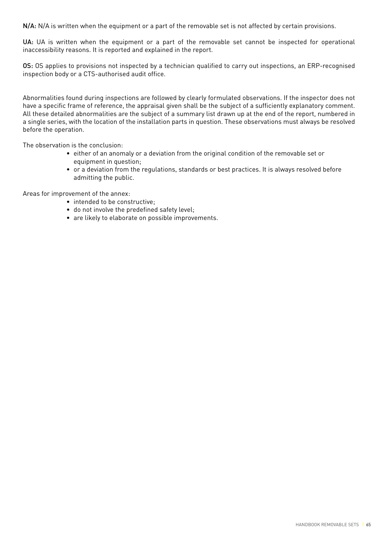N/A: N/A is written when the equipment or a part of the removable set is not affected by certain provisions.

UA: UA is written when the equipment or a part of the removable set cannot be inspected for operational inaccessibility reasons. It is reported and explained in the report.

OS: OS applies to provisions not inspected by a technician qualified to carry out inspections, an ERP-recognised inspection body or a CTS-authorised audit office.

Abnormalities found during inspections are followed by clearly formulated observations. If the inspector does not have a specific frame of reference, the appraisal given shall be the subject of a sufficiently explanatory comment. All these detailed abnormalities are the subject of a summary list drawn up at the end of the report, numbered in a single series, with the location of the installation parts in question. These observations must always be resolved before the operation.

The observation is the conclusion:

- either of an anomaly or a deviation from the original condition of the removable set or equipment in question;
- or a deviation from the regulations, standards or best practices. It is always resolved before admitting the public.

Areas for improvement of the annex:

- intended to be constructive:
- do not involve the predefined safety level;
- are likely to elaborate on possible improvements.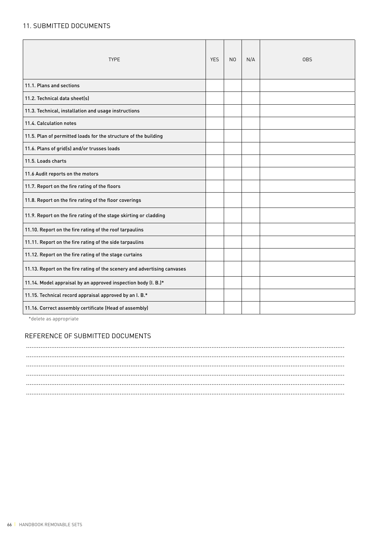## 11. SUBMITTED DOCUMENTS

| <b>TYPE</b>                                                              | <b>YES</b> | N <sub>0</sub> | N/A | <b>OBS</b> |
|--------------------------------------------------------------------------|------------|----------------|-----|------------|
| 11.1. Plans and sections                                                 |            |                |     |            |
| 11.2. Technical data sheet(s)                                            |            |                |     |            |
| 11.3. Technical, installation and usage instructions                     |            |                |     |            |
| 11.4. Calculation notes                                                  |            |                |     |            |
| 11.5. Plan of permitted loads for the structure of the building          |            |                |     |            |
| 11.6. Plans of grid(s) and/or trusses loads                              |            |                |     |            |
| 11.5. Loads charts                                                       |            |                |     |            |
| 11.6 Audit reports on the motors                                         |            |                |     |            |
| 11.7. Report on the fire rating of the floors                            |            |                |     |            |
| 11.8. Report on the fire rating of the floor coverings                   |            |                |     |            |
| 11.9. Report on the fire rating of the stage skirting or cladding        |            |                |     |            |
| 11.10. Report on the fire rating of the roof tarpaulins                  |            |                |     |            |
| 11.11. Report on the fire rating of the side tarpaulins                  |            |                |     |            |
| 11.12. Report on the fire rating of the stage curtains                   |            |                |     |            |
| 11.13. Report on the fire rating of the scenery and advertising canvases |            |                |     |            |
| 11.14. Model appraisal by an approved inspection body (I. B.)*           |            |                |     |            |
| 11.15. Technical record appraisal approved by an I. B.*                  |            |                |     |            |
| 11.16. Correct assembly certificate (Head of assembly)                   |            |                |     |            |

\*delete as appropriate

### REFERENCE OF SUBMITTED DOCUMENTS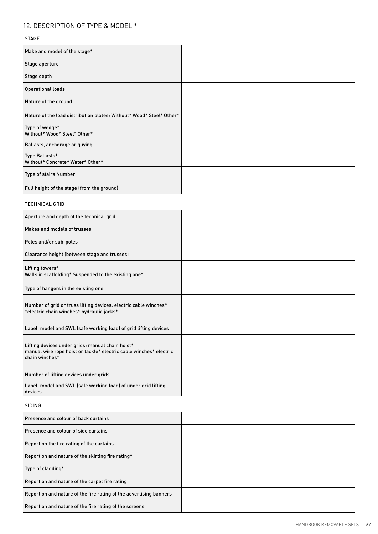# 12. DESCRIPTION OF TYPE & MODEL \*

#### STAGE

| Make and model of the stage*                                         |  |
|----------------------------------------------------------------------|--|
| Stage aperture                                                       |  |
| Stage depth                                                          |  |
| <b>Operational loads</b>                                             |  |
| Nature of the ground                                                 |  |
| Nature of the load distribution plates: Without* Wood* Steel* Other* |  |
| Type of wedge*<br>Without* Wood* Steel* Other*                       |  |
| Ballasts, anchorage or guying                                        |  |
| Type Ballasts*<br>Without* Concrete* Water* Other*                   |  |
| Type of stairs Number:                                               |  |
| Full height of the stage (from the ground)                           |  |

#### TECHNICAL GRID

| Aperture and depth of the technical grid                                                                                                 |  |
|------------------------------------------------------------------------------------------------------------------------------------------|--|
| Makes and models of trusses                                                                                                              |  |
| Poles and/or sub-poles                                                                                                                   |  |
| Clearance height (between stage and trusses)                                                                                             |  |
| Lifting towers*<br>Walls in scaffolding* Suspended to the existing one*                                                                  |  |
| Type of hangers in the existing one                                                                                                      |  |
| Number of grid or truss lifting devices: electric cable winches*<br>*electric chain winches* hydraulic jacks*                            |  |
| Label, model and SWL (safe working load) of grid lifting devices                                                                         |  |
| Lifting devices under grids: manual chain hoist*<br>manual wire rope hoist or tackle* electric cable winches* electric<br>chain winches* |  |
| Number of lifting devices under grids                                                                                                    |  |
| Label, model and SWL (safe working load) of under grid lifting<br>devices                                                                |  |

#### SIDING

| Presence and colour of back curtains                               |  |
|--------------------------------------------------------------------|--|
| Presence and colour of side curtains                               |  |
| Report on the fire rating of the curtains                          |  |
| Report on and nature of the skirting fire rating*                  |  |
| Type of cladding*                                                  |  |
| Report on and nature of the carpet fire rating                     |  |
| Report on and nature of the fire rating of the advertising banners |  |
| Report on and nature of the fire rating of the screens             |  |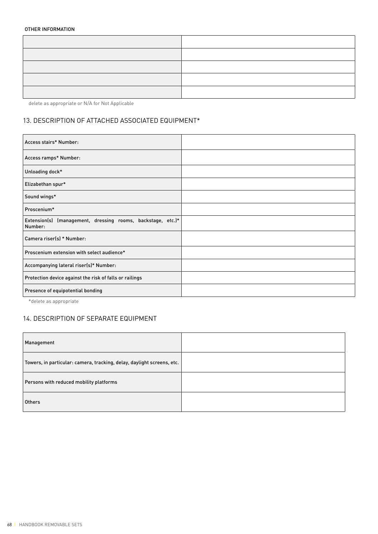#### OTHER INFORMATION

delete as appropriate or N/A for Not Applicable

### 13. DESCRIPTION OF ATTACHED ASSOCIATED EQUIPMENT\*

| Access stairs* Number:                                                 |  |
|------------------------------------------------------------------------|--|
| Access ramps* Number:                                                  |  |
| Unloading dock*                                                        |  |
| Elizabethan spur*                                                      |  |
| Sound wings*                                                           |  |
| Proscenium*                                                            |  |
| Extension(s) (management, dressing rooms, backstage, etc.)*<br>Number: |  |
| Camera riser(s) * Number:                                              |  |
| Proscenium extension with select audience*                             |  |
| Accompanying lateral riser(s)* Number:                                 |  |
| Protection device against the risk of falls or railings                |  |
| Presence of equipotential bonding                                      |  |

\*delete as appropriate

### 14. DESCRIPTION OF SEPARATE EQUIPMENT

| Management                                                             |  |
|------------------------------------------------------------------------|--|
| Towers, in particular: camera, tracking, delay, daylight screens, etc. |  |
| Persons with reduced mobility platforms                                |  |
| <b>Others</b>                                                          |  |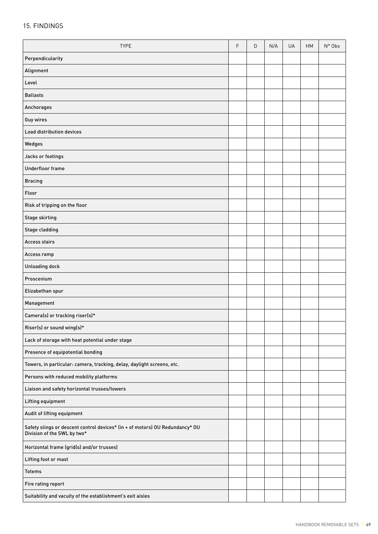### 15. FINDINGS

| <b>TYPE</b>                                                                                                 | F | D | N/A | UA | HM | N° Obs |
|-------------------------------------------------------------------------------------------------------------|---|---|-----|----|----|--------|
| Perpendicularity                                                                                            |   |   |     |    |    |        |
| Alignment                                                                                                   |   |   |     |    |    |        |
| Level                                                                                                       |   |   |     |    |    |        |
| <b>Ballasts</b>                                                                                             |   |   |     |    |    |        |
| Anchorages                                                                                                  |   |   |     |    |    |        |
| <b>Guy wires</b>                                                                                            |   |   |     |    |    |        |
| Load distribution devices                                                                                   |   |   |     |    |    |        |
| Wedges                                                                                                      |   |   |     |    |    |        |
| Jacks or footings                                                                                           |   |   |     |    |    |        |
| Underfloor frame                                                                                            |   |   |     |    |    |        |
| <b>Bracing</b>                                                                                              |   |   |     |    |    |        |
| Floor                                                                                                       |   |   |     |    |    |        |
| Risk of tripping on the floor                                                                               |   |   |     |    |    |        |
| <b>Stage skirting</b>                                                                                       |   |   |     |    |    |        |
| Stage cladding                                                                                              |   |   |     |    |    |        |
| <b>Access stairs</b>                                                                                        |   |   |     |    |    |        |
| Access ramp                                                                                                 |   |   |     |    |    |        |
| Unloading dock                                                                                              |   |   |     |    |    |        |
| Proscenium                                                                                                  |   |   |     |    |    |        |
| Elizabethan spur                                                                                            |   |   |     |    |    |        |
| Management                                                                                                  |   |   |     |    |    |        |
| Camera(s) or tracking riser(s)*                                                                             |   |   |     |    |    |        |
| Riser(s) or sound wing(s)*                                                                                  |   |   |     |    |    |        |
| Lack of storage with heat potential under stage                                                             |   |   |     |    |    |        |
| Presence of equipotential bonding                                                                           |   |   |     |    |    |        |
| Towers, in particular: camera, tracking, delay, daylight screens, etc.                                      |   |   |     |    |    |        |
| Persons with reduced mobility platforms                                                                     |   |   |     |    |    |        |
| Liaison and safety horizontal trusses/towers                                                                |   |   |     |    |    |        |
| Lifting equipment                                                                                           |   |   |     |    |    |        |
| Audit of lifting equipment                                                                                  |   |   |     |    |    |        |
| Safety slings or descent control devices* (in + of motors) OU Redundancy* OU<br>Division of the SWL by two* |   |   |     |    |    |        |
| Horizontal frame (grid(s) and/or trusses)                                                                   |   |   |     |    |    |        |
| Lifting foot or mast                                                                                        |   |   |     |    |    |        |
| <b>Totems</b>                                                                                               |   |   |     |    |    |        |
| Fire rating report                                                                                          |   |   |     |    |    |        |
| Suitability and vacuity of the establishment's exit aisles                                                  |   |   |     |    |    |        |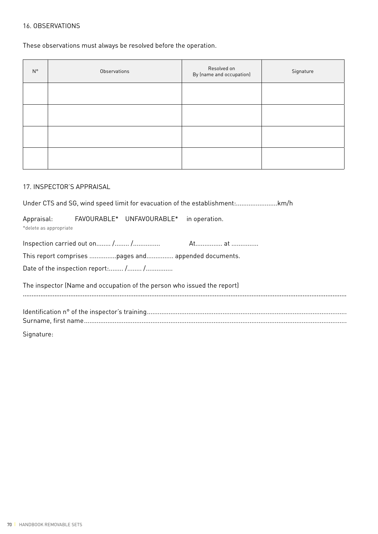### 16. OBSERVATIONS

These observations must always be resolved before the operation.

| $N^{\circ}$ | Observations | Resolved on<br>By (name and occupation) | Signature |
|-------------|--------------|-----------------------------------------|-----------|
|             |              |                                         |           |
|             |              |                                         |           |
|             |              |                                         |           |
|             |              |                                         |           |

#### 17. INSPECTOR'S APPRAISAL

Under CTS and SG, wind speed limit for evacuation of the establishment:.......................km/h

|                        | Appraisal: FAVOURABLE* UNFAVOURABLE* in operation.                      |  |
|------------------------|-------------------------------------------------------------------------|--|
| *delete as appropriate |                                                                         |  |
|                        |                                                                         |  |
|                        | This report comprises pages and appended documents.                     |  |
|                        | Date of the inspection report: / /                                      |  |
|                        | The inspector (Name and occupation of the person who issued the report) |  |
|                        |                                                                         |  |
|                        |                                                                         |  |
| Signature:             |                                                                         |  |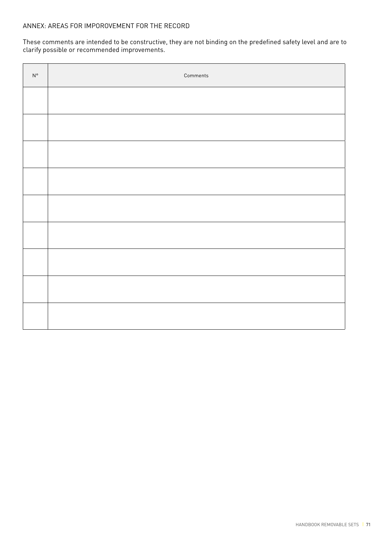These comments are intended to be constructive, they are not binding on the predefined safety level and are to clarify possible or recommended improvements.

| $\mathsf{N}^\circ$ | Comments |
|--------------------|----------|
|                    |          |
|                    |          |
|                    |          |
|                    |          |
|                    |          |
|                    |          |
|                    |          |
|                    |          |
|                    |          |
|                    |          |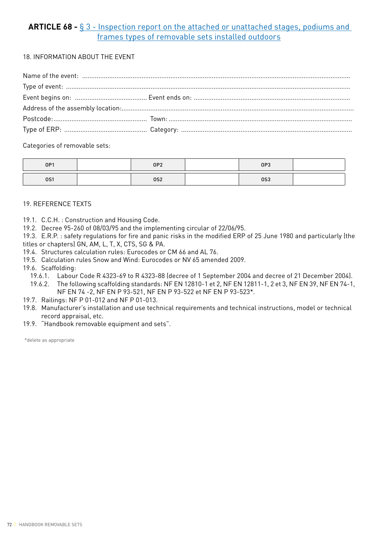# **ARTICLE 68 -** § 3 - Inspection report on the attached or unattached stages, podiums and frames types of removable sets installed outdoors

18. INFORMATION ABOUT THE EVENT

Categories of removable sets:

| OP1        | OP <sub>2</sub> | OP3 |  |
|------------|-----------------|-----|--|
| <b>0S1</b> | 0S2             | 0S3 |  |

# 19. REFERENCE TEXTS

- 19.1. C.C.H. : Construction and Housing Code.
- 19.2. Decree 95-260 of 08/03/95 and the implementing circular of 22/06/95.

19.3. E.R.P. : safety regulations for fire and panic risks in the modified ERP of 25 June 1980 and particularly (the titles or chapters) GN, AM, L, T, X, CTS, SG & PA.

- 19.4. Structures calculation rules: Eurocodes or CM 66 and AL 76.
- 19.5. Calculation rules Snow and Wind: Eurocodes or NV 65 amended 2009.
- 19.6. Scaffolding:
	- 19.6.1. Labour Code R 4323-69 to R 4323-88 (decree of 1 September 2004 and decree of 21 December 2004).
	- 19.6.2. The following scaffolding standards: NF EN 12810-1 et 2, NF EN 12811-1, 2 et 3, NF EN 39, NF EN 74-1, NF EN 74 -2, NF EN P 93-521, NF EN P 93-522 et NF EN P 93-523\*.
- 19.7. Railings: NF P 01-012 and NF P 01-013.
- 19.8. Manufacturer's installation and use technical requirements and technical instructions, model or technical record appraisal, etc.
- 19.9. "Handbook removable equipment and sets".

\*delete as appropriate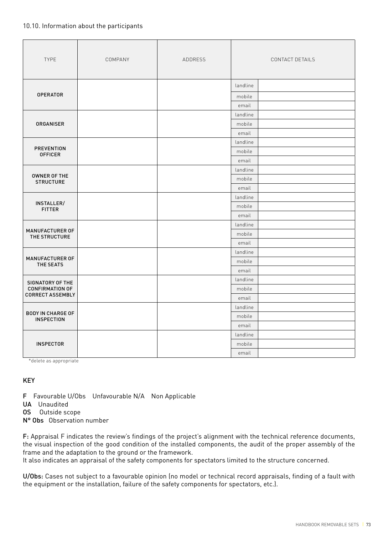# 10.10. Information about the participants

| <b>TYPE</b>                                   | COMPANY | ADDRESS | CONTACT DETAILS |  |  |
|-----------------------------------------------|---------|---------|-----------------|--|--|
|                                               |         |         | landline        |  |  |
| <b>OPERATOR</b>                               |         |         | mobile          |  |  |
|                                               |         |         | email           |  |  |
|                                               |         |         | landline        |  |  |
| <b>ORGANISER</b>                              |         |         | mobile          |  |  |
|                                               |         |         | email           |  |  |
|                                               |         |         | landline        |  |  |
| <b>PREVENTION</b><br><b>OFFICER</b>           |         |         | mobile          |  |  |
|                                               |         |         | email           |  |  |
|                                               |         |         | landline        |  |  |
| OWNER OF THE<br><b>STRUCTURE</b>              |         |         | mobile          |  |  |
|                                               |         |         | email           |  |  |
|                                               |         |         | landline        |  |  |
| INSTALLER/<br><b>FITTER</b>                   |         |         | mobile          |  |  |
|                                               |         |         | email           |  |  |
|                                               |         |         | landline        |  |  |
| MANUFACTURER OF<br>THE STRUCTURE              |         |         | mobile          |  |  |
|                                               |         |         | email           |  |  |
|                                               |         |         | landline        |  |  |
| <b>MANUFACTURER OF</b><br>THE SEATS           |         |         | mobile          |  |  |
|                                               |         |         | email           |  |  |
| SIGNATORY OF THE                              |         |         | landline        |  |  |
| <b>CONFIRMATION OF</b>                        |         |         | mobile          |  |  |
| <b>CORRECT ASSEMBLY</b>                       |         |         | email           |  |  |
|                                               |         |         | landline        |  |  |
| <b>BODY IN CHARGE OF</b><br><b>INSPECTION</b> |         |         | mobile          |  |  |
|                                               |         |         | email           |  |  |
|                                               |         |         | landline        |  |  |
| <b>INSPECTOR</b>                              |         |         | mobile          |  |  |
|                                               |         |         | email           |  |  |

\*delete as appropriate

# KEY

F Favourable U/Obs Unfavourable N/A Non Applicable

- UA Unaudited
- OS Outside scope
- N° Obs Observation number

F: Appraisal F indicates the review's findings of the project's alignment with the technical reference documents, the visual inspection of the good condition of the installed components, the audit of the proper assembly of the frame and the adaptation to the ground or the framework.

It also indicates an appraisal of the safety components for spectators limited to the structure concerned.

U/Obs: Cases not subject to a favourable opinion (no model or technical record appraisals, finding of a fault with the equipment or the installation, failure of the safety components for spectators, etc.).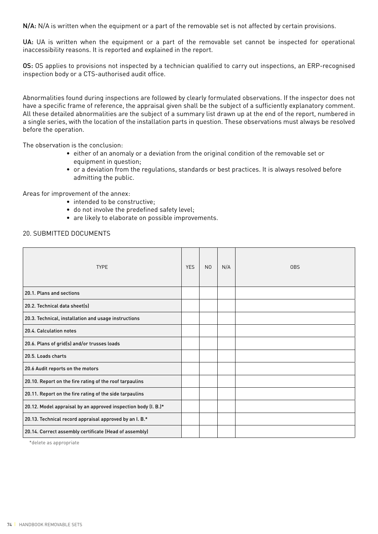N/A: N/A is written when the equipment or a part of the removable set is not affected by certain provisions.

UA: UA is written when the equipment or a part of the removable set cannot be inspected for operational inaccessibility reasons. It is reported and explained in the report.

OS: OS applies to provisions not inspected by a technician qualified to carry out inspections, an ERP-recognised inspection body or a CTS-authorised audit office.

Abnormalities found during inspections are followed by clearly formulated observations. If the inspector does not have a specific frame of reference, the appraisal given shall be the subject of a sufficiently explanatory comment. All these detailed abnormalities are the subject of a summary list drawn up at the end of the report, numbered in a single series, with the location of the installation parts in question. These observations must always be resolved before the operation.

The observation is the conclusion:

- either of an anomaly or a deviation from the original condition of the removable set or equipment in question;
- or a deviation from the regulations, standards or best practices. It is always resolved before admitting the public.

Areas for improvement of the annex:

- intended to be constructive:
- do not involve the predefined safety level;
- are likely to elaborate on possible improvements.

### 20. SUBMITTED DOCUMENTS

| <b>TYPE</b>                                                    | <b>YES</b> | N <sub>0</sub> | N/A | 0 <sub>BS</sub> |
|----------------------------------------------------------------|------------|----------------|-----|-----------------|
| 20.1. Plans and sections                                       |            |                |     |                 |
| 20.2. Technical data sheet(s)                                  |            |                |     |                 |
| 20.3. Technical, installation and usage instructions           |            |                |     |                 |
| 20.4. Calculation notes                                        |            |                |     |                 |
| 20.6. Plans of grid(s) and/or trusses loads                    |            |                |     |                 |
| 20.5. Loads charts                                             |            |                |     |                 |
| 20.6 Audit reports on the motors                               |            |                |     |                 |
| 20.10. Report on the fire rating of the roof tarpaulins        |            |                |     |                 |
| 20.11. Report on the fire rating of the side tarpaulins        |            |                |     |                 |
| 20.12. Model appraisal by an approved inspection body (I. B.)* |            |                |     |                 |
| 20.13. Technical record appraisal approved by an I. B.*        |            |                |     |                 |
| 20.14. Correct assembly certificate (Head of assembly)         |            |                |     |                 |

\*delete as appropriate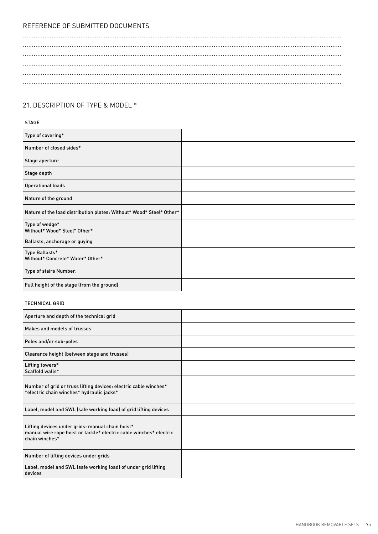# REFERENCE OF SUBMITTED DOCUMENTS

# 21. DESCRIPTION OF TYPE & MODEL \*

# STAGE

| Type of covering*                                                    |  |
|----------------------------------------------------------------------|--|
| Number of closed sides*                                              |  |
| Stage aperture                                                       |  |
| Stage depth                                                          |  |
| <b>Operational loads</b>                                             |  |
| Nature of the ground                                                 |  |
| Nature of the load distribution plates: Without* Wood* Steel* Other* |  |
| Type of wedge*<br>Without* Wood* Steel* Other*                       |  |
| Ballasts, anchorage or guying                                        |  |
| Type Ballasts*<br>Without* Concrete* Water* Other*                   |  |
| Type of stairs Number:                                               |  |
| Full height of the stage (from the ground)                           |  |

#### TECHNICAL GRID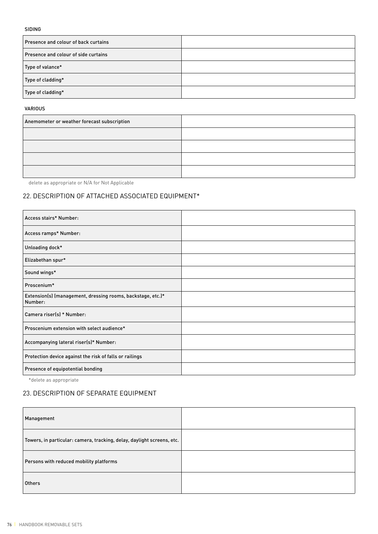### SIDING

| Presence and colour of back curtains |  |
|--------------------------------------|--|
| Presence and colour of side curtains |  |
| Type of valance*                     |  |
| Type of cladding*                    |  |
| Type of cladding*                    |  |

#### VARIOUS

| Anemometer or weather forecast subscription |  |
|---------------------------------------------|--|
|                                             |  |
|                                             |  |
|                                             |  |
|                                             |  |

delete as appropriate or N/A for Not Applicable

# 22. DESCRIPTION OF ATTACHED ASSOCIATED EQUIPMENT\*

| Access stairs* Number:                                                 |  |
|------------------------------------------------------------------------|--|
| Access ramps* Number:                                                  |  |
| Unloading dock*                                                        |  |
| Elizabethan spur*                                                      |  |
| Sound wings*                                                           |  |
| Proscenium*                                                            |  |
| Extension(s) (management, dressing rooms, backstage, etc.)*<br>Number: |  |
| Camera riser(s) * Number:                                              |  |
| Proscenium extension with select audience*                             |  |
| Accompanying lateral riser(s)* Number:                                 |  |
| Protection device against the risk of falls or railings                |  |
| Presence of equipotential bonding                                      |  |

\*delete as appropriate

# 23. DESCRIPTION OF SEPARATE EQUIPMENT

| Management                                                             |  |
|------------------------------------------------------------------------|--|
| Towers, in particular: camera, tracking, delay, daylight screens, etc. |  |
| Persons with reduced mobility platforms                                |  |
| <b>Others</b>                                                          |  |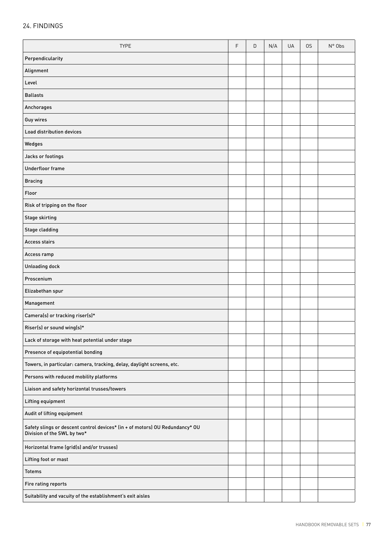# 24. FINDINGS

| <b>TYPE</b>                                                                                                 | $\mathsf F$ | D | N/A | UA | 0S | N° Obs |
|-------------------------------------------------------------------------------------------------------------|-------------|---|-----|----|----|--------|
| Perpendicularity                                                                                            |             |   |     |    |    |        |
| Alignment                                                                                                   |             |   |     |    |    |        |
| Level                                                                                                       |             |   |     |    |    |        |
| <b>Ballasts</b>                                                                                             |             |   |     |    |    |        |
| Anchorages                                                                                                  |             |   |     |    |    |        |
| Guy wires                                                                                                   |             |   |     |    |    |        |
| Load distribution devices                                                                                   |             |   |     |    |    |        |
| Wedges                                                                                                      |             |   |     |    |    |        |
| Jacks or footings                                                                                           |             |   |     |    |    |        |
| Underfloor frame                                                                                            |             |   |     |    |    |        |
| <b>Bracing</b>                                                                                              |             |   |     |    |    |        |
| Floor                                                                                                       |             |   |     |    |    |        |
| Risk of tripping on the floor                                                                               |             |   |     |    |    |        |
| Stage skirting                                                                                              |             |   |     |    |    |        |
| <b>Stage cladding</b>                                                                                       |             |   |     |    |    |        |
| <b>Access stairs</b>                                                                                        |             |   |     |    |    |        |
| Access ramp                                                                                                 |             |   |     |    |    |        |
| Unloading dock                                                                                              |             |   |     |    |    |        |
| Proscenium                                                                                                  |             |   |     |    |    |        |
| Elizabethan spur                                                                                            |             |   |     |    |    |        |
| Management                                                                                                  |             |   |     |    |    |        |
| Camera(s) or tracking riser(s)*                                                                             |             |   |     |    |    |        |
| Riser(s) or sound wing(s)*                                                                                  |             |   |     |    |    |        |
| Lack of storage with heat potential under stage                                                             |             |   |     |    |    |        |
| Presence of equipotential bonding                                                                           |             |   |     |    |    |        |
| Towers, in particular: camera, tracking, delay, daylight screens, etc.                                      |             |   |     |    |    |        |
| Persons with reduced mobility platforms                                                                     |             |   |     |    |    |        |
| Liaison and safety horizontal trusses/towers                                                                |             |   |     |    |    |        |
| Lifting equipment                                                                                           |             |   |     |    |    |        |
| Audit of lifting equipment                                                                                  |             |   |     |    |    |        |
| Safety slings or descent control devices* (in + of motors) OU Redundancy* OU<br>Division of the SWL by two* |             |   |     |    |    |        |
| Horizontal frame (grid(s) and/or trusses)                                                                   |             |   |     |    |    |        |
| Lifting foot or mast                                                                                        |             |   |     |    |    |        |
| <b>Totems</b>                                                                                               |             |   |     |    |    |        |
| Fire rating reports                                                                                         |             |   |     |    |    |        |
| Suitability and vacuity of the establishment's exit aisles                                                  |             |   |     |    |    |        |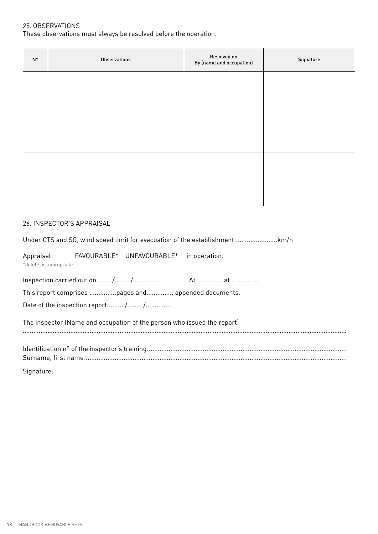# 25. OBSERVATIONS

These observations must always be resolved before the operation.

| $\mathsf{N}^\circ$ | Observations | Resolved on<br>By (name and occupation) | Signature |
|--------------------|--------------|-----------------------------------------|-----------|
|                    |              |                                         |           |
|                    |              |                                         |           |
|                    |              |                                         |           |
|                    |              |                                         |           |
|                    |              |                                         |           |
|                    |              |                                         |           |

# 26. INSPECTOR'S APPRAISAL

Under CTS and SG, wind speed limit for evacuation of the establishment:.......................km/h

Appraisal: FAVOURABLE\* UNFAVOURABLE\* in operation. \*delete as appropriate

This report comprises ...............pages and............... appended documents.

Date of the inspection report:........ /........ /................

#### The inspector (Name and occupation of the person who issued the report) ........................................................................................................................................................................................

Signature: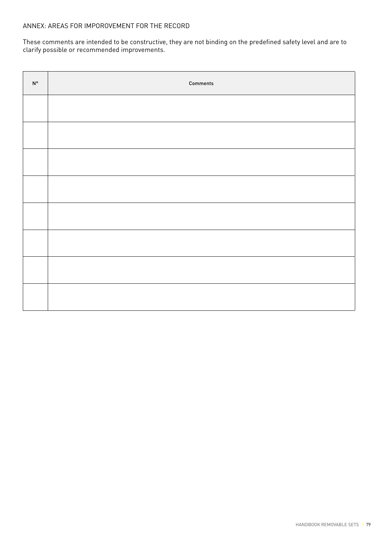These comments are intended to be constructive, they are not binding on the predefined safety level and are to clarify possible or recommended improvements.

| $\mathsf{N}^\mathsf{o}$ | Comments |
|-------------------------|----------|
|                         |          |
|                         |          |
|                         |          |
|                         |          |
|                         |          |
|                         |          |
|                         |          |
|                         |          |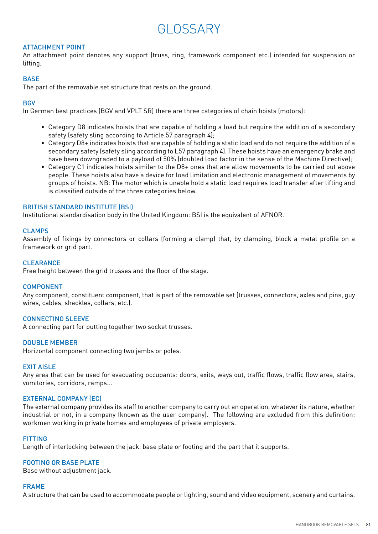# GLOSSARY

# ATTACHMENT POINT

An attachment point denotes any support (truss, ring, framework component etc.) intended for suspension or lifting.

# **BASE**

The part of the removable set structure that rests on the ground.

### **BGV**

In German best practices (BGV and VPLT SR) there are three categories of chain hoists (motors):

- Category D8 indicates hoists that are capable of holding a load but require the addition of a secondary safety (safety sling according to Article 57 paragraph 4);
- Category D8+ indicates hoists that are capable of holding a static load and do not require the addition of a secondary safety (safety sling according to L57 paragraph 4). These hoists have an emergency brake and have been downgraded to a payload of 50% (doubled load factor in the sense of the Machine Directive);
- Category C1 indicates hoists similar to the D8+ ones that are allow movements to be carried out above people. These hoists also have a device for load limitation and electronic management of movements by groups of hoists. NB: The motor which is unable hold a static load requires load transfer after lifting and is classified outside of the three categories below.

### BRITISH STANDARD INSTITUTE (BSI)

Institutional standardisation body in the United Kingdom: BSI is the equivalent of AFNOR.

#### CLAMPS

Assembly of fixings by connectors or collars (forming a clamp) that, by clamping, block a metal profile on a framework or grid part.

#### **CLEARANCE**

Free height between the grid trusses and the floor of the stage.

#### COMPONENT

Any component, constituent component, that is part of the removable set (trusses, connectors, axles and pins, guy wires, cables, shackles, collars, etc.).

# CONNECTING SLEEVE

A connecting part for putting together two socket trusses.

#### DOUBLE MEMBER

Horizontal component connecting two jambs or poles.

#### EXIT AISLE

Any area that can be used for evacuating occupants: doors, exits, ways out, traffic flows, traffic flow area, stairs, vomitories, corridors, ramps...

#### EXTERNAL COMPANY (EC)

The external company provides its staff to another company to carry out an operation, whatever its nature, whether industrial or not, in a company (known as the user company). The following are excluded from this definition: workmen working in private homes and employees of private employers.

#### FITTING

Length of interlocking between the jack, base plate or footing and the part that it supports.

# FOOTING OR BASE PLATE

Base without adjustment jack.

#### FRAME

A structure that can be used to accommodate people or lighting, sound and video equipment, scenery and curtains.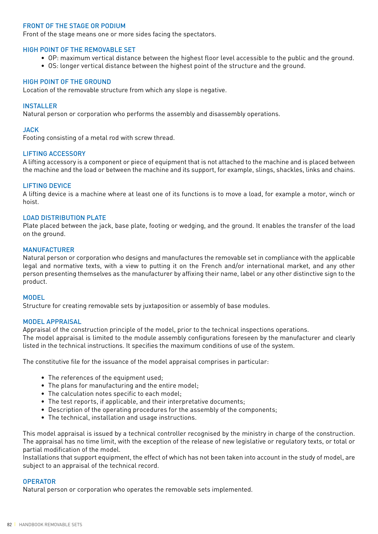# FRONT OF THE STAGE OR PODIUM

Front of the stage means one or more sides facing the spectators.

# HIGH POINT OF THE REMOVABLE SET

- OP: maximum vertical distance between the highest floor level accessible to the public and the ground.
- OS: longer vertical distance between the highest point of the structure and the ground.

# HIGH POINT OF THE GROUND

Location of the removable structure from which any slope is negative.

# INSTALLER

Natural person or corporation who performs the assembly and disassembly operations.

# JACK

Footing consisting of a metal rod with screw thread.

### LIFTING ACCESSORY

A lifting accessory is a component or piece of equipment that is not attached to the machine and is placed between the machine and the load or between the machine and its support, for example, slings, shackles, links and chains.

### LIFTING DEVICE

A lifting device is a machine where at least one of its functions is to move a load, for example a motor, winch or hoist.

### LOAD DISTRIBUTION PLATE

Plate placed between the jack, base plate, footing or wedging, and the ground. It enables the transfer of the load on the ground.

### MANUFACTURER

Natural person or corporation who designs and manufactures the removable set in compliance with the applicable legal and normative texts, with a view to putting it on the French and/or international market, and any other person presenting themselves as the manufacturer by affixing their name, label or any other distinctive sign to the product.

#### MODEL

Structure for creating removable sets by juxtaposition or assembly of base modules.

# MODEL APPRAISAL

Appraisal of the construction principle of the model, prior to the technical inspections operations. The model appraisal is limited to the module assembly configurations foreseen by the manufacturer and clearly listed in the technical instructions. It specifies the maximum conditions of use of the system.

The constitutive file for the issuance of the model appraisal comprises in particular:

- The references of the equipment used;
- The plans for manufacturing and the entire model;
- The calculation notes specific to each model;
- The test reports, if applicable, and their interpretative documents;
- Description of the operating procedures for the assembly of the components;
- The technical, installation and usage instructions.

This model appraisal is issued by a technical controller recognised by the ministry in charge of the construction. The appraisal has no time limit, with the exception of the release of new legislative or regulatory texts, or total or partial modification of the model.

Installations that support equipment, the effect of which has not been taken into account in the study of model, are subject to an appraisal of the technical record.

#### **OPERATOR**

Natural person or corporation who operates the removable sets implemented.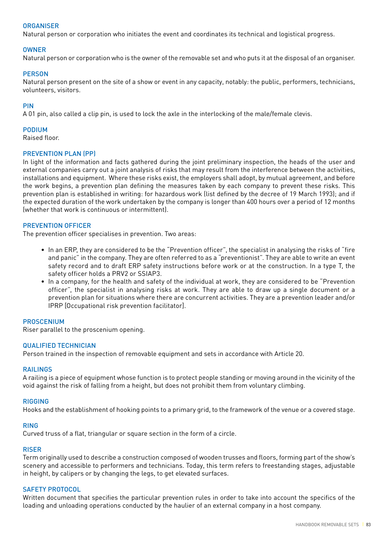# **ORGANISER**

Natural person or corporation who initiates the event and coordinates its technical and logistical progress.

# OWNER

Natural person or corporation who is the owner of the removable set and who puts it at the disposal of an organiser.

# **PERSON**

Natural person present on the site of a show or event in any capacity, notably: the public, performers, technicians, volunteers, visitors.

# PIN

A 01 pin, also called a clip pin, is used to lock the axle in the interlocking of the male/female clevis.

### PODIUM

Raised floor.

### PREVENTION PLAN (PP)

In light of the information and facts gathered during the joint preliminary inspection, the heads of the user and external companies carry out a joint analysis of risks that may result from the interference between the activities, installations and equipment. Where these risks exist, the employers shall adopt, by mutual agreement, and before the work begins, a prevention plan defining the measures taken by each company to prevent these risks. This prevention plan is established in writing: for hazardous work (list defined by the decree of 19 March 1993); and if the expected duration of the work undertaken by the company is longer than 400 hours over a period of 12 months (whether that work is continuous or intermittent).

### PREVENTION OFFICER

The prevention officer specialises in prevention. Two areas:

- In an ERP, they are considered to be the "Prevention officer", the specialist in analysing the risks of "fire and panic" in the company. They are often referred to as a "preventionist". They are able to write an event safety record and to draft ERP safety instructions before work or at the construction. In a type T, the safety officer holds a PRV2 or SSIAP3.
- In a company, for the health and safety of the individual at work, they are considered to be "Prevention officer", the specialist in analysing risks at work. They are able to draw up a single document or a prevention plan for situations where there are concurrent activities. They are a prevention leader and/or IPRP [Occupational risk prevention facilitator].

#### PROSCENIUM

Riser parallel to the proscenium opening.

#### QUALIFIED TECHNICIAN

Person trained in the inspection of removable equipment and sets in accordance with Article 20.

#### **RAILINGS**

A railing is a piece of equipment whose function is to protect people standing or moving around in the vicinity of the void against the risk of falling from a height, but does not prohibit them from voluntary climbing.

#### RIGGING

Hooks and the establishment of hooking points to a primary grid, to the framework of the venue or a covered stage.

# RING

Curved truss of a flat, triangular or square section in the form of a circle.

# RISER

Term originally used to describe a construction composed of wooden trusses and floors, forming part of the show's scenery and accessible to performers and technicians. Today, this term refers to freestanding stages, adjustable in height, by calipers or by changing the legs, to get elevated surfaces.

#### SAFETY PROTOCOL

Written document that specifies the particular prevention rules in order to take into account the specifics of the loading and unloading operations conducted by the haulier of an external company in a host company.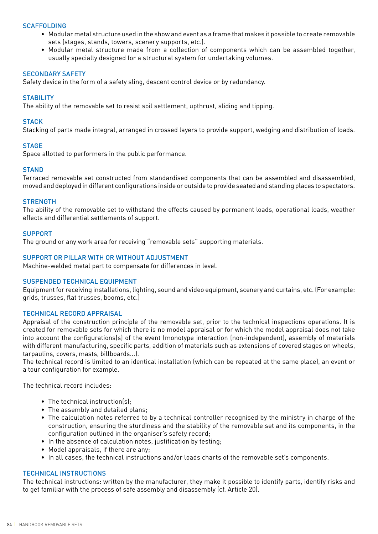# **SCAFFOLDING**

- Modular metal structure used in the show and event as a frame that makes it possible to create removable sets (stages, stands, towers, scenery supports, etc.).
- Modular metal structure made from a collection of components which can be assembled together, usually specially designed for a structural system for undertaking volumes.

### SECONDARY SAFETY

Safety device in the form of a safety sling, descent control device or by redundancy.

# **STABILITY**

The ability of the removable set to resist soil settlement, upthrust, sliding and tipping.

# **STACK**

Stacking of parts made integral, arranged in crossed layers to provide support, wedging and distribution of loads.

### **STAGE**

Space allotted to performers in the public performance.

### **STAND**

Terraced removable set constructed from standardised components that can be assembled and disassembled, moved and deployed in different configurations inside or outside to provide seated and standing places to spectators.

### **STRENGTH**

The ability of the removable set to withstand the effects caused by permanent loads, operational loads, weather effects and differential settlements of support.

### **SUPPORT**

The ground or any work area for receiving "removable sets" supporting materials.

### SUPPORT OR PILLAR WITH OR WITHOUT ADJUSTMENT

Machine-welded metal part to compensate for differences in level.

# SUSPENDED TECHNICAL EQUIPMENT

Equipment for receiving installations, lighting, sound and video equipment, scenery and curtains, etc. (For example: grids, trusses, flat trusses, booms, etc.)

#### TECHNICAL RECORD APPRAISAL

Appraisal of the construction principle of the removable set, prior to the technical inspections operations. It is created for removable sets for which there is no model appraisal or for which the model appraisal does not take into account the configurations(s) of the event (monotype interaction (non-independent), assembly of materials with different manufacturing, specific parts, addition of materials such as extensions of covered stages on wheels, tarpaulins, covers, masts, billboards...).

The technical record is limited to an identical installation (which can be repeated at the same place), an event or a tour configuration for example.

The technical record includes:

- The technical instruction(s);
- The assembly and detailed plans;
- The calculation notes referred to by a technical controller recognised by the ministry in charge of the construction, ensuring the sturdiness and the stability of the removable set and its components, in the configuration outlined in the organiser's safety record;
- In the absence of calculation notes, justification by testing;
- Model appraisals, if there are any;
- In all cases, the technical instructions and/or loads charts of the removable set's components.

#### TECHNICAL INSTRUCTIONS

The technical instructions: written by the manufacturer, they make it possible to identify parts, identify risks and to get familiar with the process of safe assembly and disassembly (cf. Article 20).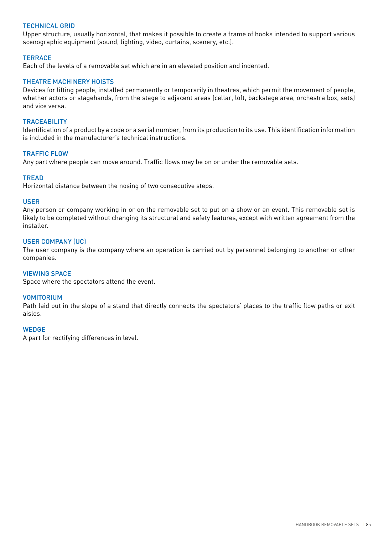# TECHNICAL GRID

Upper structure, usually horizontal, that makes it possible to create a frame of hooks intended to support various scenographic equipment (sound, lighting, video, curtains, scenery, etc.).

#### **TERRACE**

Each of the levels of a removable set which are in an elevated position and indented.

# THEATRE MACHINERY HOISTS

Devices for lifting people, installed permanently or temporarily in theatres, which permit the movement of people, whether actors or stagehands, from the stage to adjacent areas (cellar, loft, backstage area, orchestra box, sets) and vice versa.

#### **TRACEABILITY**

Identification of a product by a code or a serial number, from its production to its use. This identification information is included in the manufacturer's technical instructions.

#### TRAFFIC FLOW

Any part where people can move around. Traffic flows may be on or under the removable sets.

#### **TREAD**

Horizontal distance between the nosing of two consecutive steps.

#### USER

Any person or company working in or on the removable set to put on a show or an event. This removable set is likely to be completed without changing its structural and safety features, except with written agreement from the installer.

#### USER COMPANY (UC)

The user company is the company where an operation is carried out by personnel belonging to another or other companies.

#### VIEWING SPACE

Space where the spectators attend the event.

#### VOMITORIUM

Path laid out in the slope of a stand that directly connects the spectators' places to the traffic flow paths or exit aisles.

#### **WEDGE**

A part for rectifying differences in level.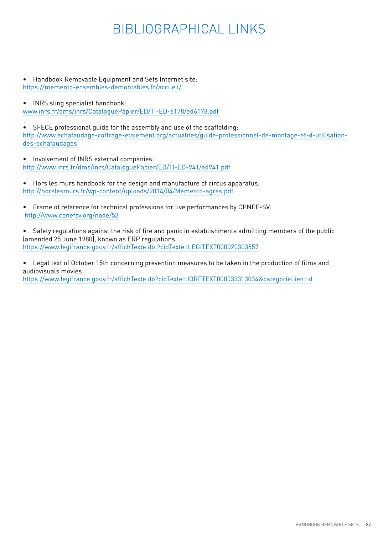# BIBLIOGRAPHICAL LINKS

- Handbook Removable Equipment and Sets Internet site: https://memento-ensembles-demontables.fr/accueil/
- INRS sling specialist handbook:

www.inrs.fr/dms/inrs/CataloguePapier/ED/TI-ED-6178/ed6178.pdf

• SFECE professional guide for the assembly and use of the scaffolding: http://www.echafaudage-coffrage-etaiement.org/actualites/guide-professionnel-de-montage-et-d-utilisationdes-echafaudages

• Involvement of INRS external companies: http://www.inrs.fr/dms/inrs/CataloguePapier/ED/TI-ED-941/ed941.pdf

- Hors les murs handbook for the design and manufacture of circus apparatus: http://horslesmurs.fr/wp-content/uploads/2014/04/Memento-agres.pdf
- Frame of reference for technical professions for live performances by CPNEF-SV: http://www.cpnefsv.org/node/53
- Safety regulations against the risk of fire and panic in establishments admitting members of the public (amended 25 June 1980), known as ERP regulations: https://www.legifrance.gouv.fr/affichTexte.do;?cidTexte=LEGITEXT000020303557

• Legal text of October 15th concerning prevention measures to be taken in the production of films and audiovisuals movies:

https://www.legifrance.gouv.fr/affichTexte.do?cidTexte=JORFTEXT000033313034&categorieLien=id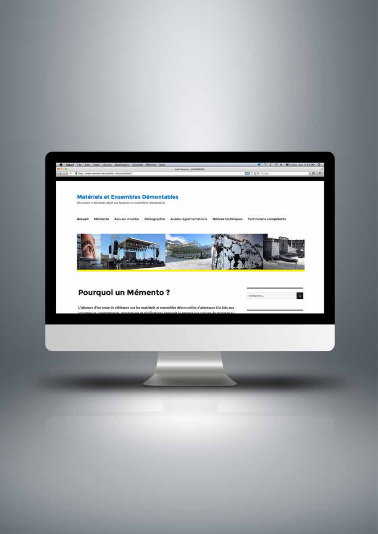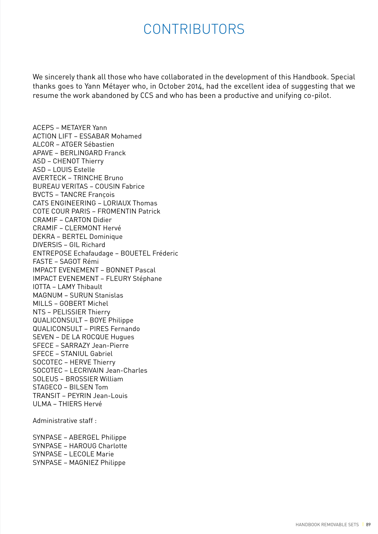# CONTRIBUTORS

We sincerely thank all those who have collaborated in the development of this Handbook. Special thanks goes to Yann Métayer who, in October 2014, had the excellent idea of suggesting that we resume the work abandoned by CCS and who has been a productive and unifying co-pilot.

ACEPS – METAYER Yann ACTION LIFT – ESSABAR Mohamed ALCOR – ATGER Sébastien APAVE – BERLINGARD Franck ASD – CHENOT Thierry ASD – LOUIS Estelle AVERTECK – TRINCHE Bruno BUREAU VERITAS – COUSIN Fabrice BVCTS – TANCRE François CATS ENGINEERING – LORIAUX Thomas COTE COUR PARIS – FROMENTIN Patrick CRAMIF – CARTON Didier CRAMIF – CLERMONT Hervé DEKRA – BERTEL Dominique DIVERSIS – GIL Richard ENTREPOSE Echafaudage – BOUETEL Fréderic FASTE – SAGOT Rémi IMPACT EVENEMENT – BONNET Pascal IMPACT EVENEMENT – FLEURY Stéphane IOTTA – LAMY Thibault MAGNUM – SURUN Stanislas MILLS – GOBERT Michel NTS – PELISSIER Thierry QUALICONSULT – BOYE Philippe QUALICONSULT – PIRES Fernando SEVEN – DE LA ROCQUE Hugues SFECE – SARRAZY Jean-Pierre SFECE – STANIUL Gabriel SOCOTEC – HERVE Thierry SOCOTEC – LECRIVAIN Jean-Charles SOLEUS – BROSSIER William STAGECO – BILSEN Tom TRANSIT – PEYRIN Jean-Louis ULMA – THIERS Hervé

Administrative staff :

SYNPASE – ABERGEL Philippe SYNPASE – HAROUG Charlotte SYNPASE – LECOLE Marie SYNPASE – MAGNIEZ Philippe